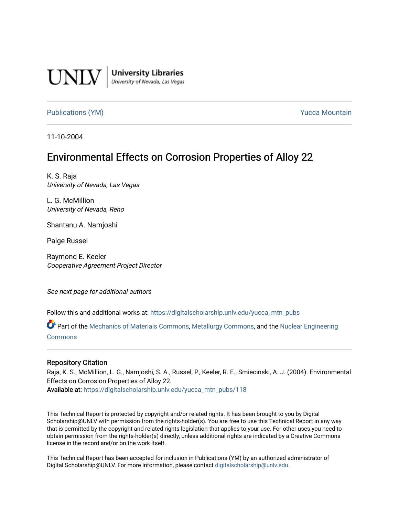

**University Libraries**<br>University of Nevada, Las Vegas

[Publications \(YM\)](https://digitalscholarship.unlv.edu/yucca_mtn_pubs) **Publications (YM) Publications (YM) Publications** (*YM*)

11-10-2004

# Environmental Effects on Corrosion Properties of Alloy 22

K. S. Raja University of Nevada, Las Vegas

L. G. McMillion University of Nevada, Reno

Shantanu A. Namjoshi

Paige Russel

Raymond E. Keeler Cooperative Agreement Project Director

See next page for additional authors

Follow this and additional works at: [https://digitalscholarship.unlv.edu/yucca\\_mtn\\_pubs](https://digitalscholarship.unlv.edu/yucca_mtn_pubs?utm_source=digitalscholarship.unlv.edu%2Fyucca_mtn_pubs%2F118&utm_medium=PDF&utm_campaign=PDFCoverPages)

Part of the [Mechanics of Materials Commons](http://network.bepress.com/hgg/discipline/283?utm_source=digitalscholarship.unlv.edu%2Fyucca_mtn_pubs%2F118&utm_medium=PDF&utm_campaign=PDFCoverPages), [Metallurgy Commons,](http://network.bepress.com/hgg/discipline/288?utm_source=digitalscholarship.unlv.edu%2Fyucca_mtn_pubs%2F118&utm_medium=PDF&utm_campaign=PDFCoverPages) and the [Nuclear Engineering](http://network.bepress.com/hgg/discipline/314?utm_source=digitalscholarship.unlv.edu%2Fyucca_mtn_pubs%2F118&utm_medium=PDF&utm_campaign=PDFCoverPages)  [Commons](http://network.bepress.com/hgg/discipline/314?utm_source=digitalscholarship.unlv.edu%2Fyucca_mtn_pubs%2F118&utm_medium=PDF&utm_campaign=PDFCoverPages)

#### Repository Citation

Raja, K. S., McMillion, L. G., Namjoshi, S. A., Russel, P., Keeler, R. E., Smiecinski, A. J. (2004). Environmental Effects on Corrosion Properties of Alloy 22. Available at: [https://digitalscholarship.unlv.edu/yucca\\_mtn\\_pubs/118](https://digitalscholarship.unlv.edu/yucca_mtn_pubs/118) 

This Technical Report is protected by copyright and/or related rights. It has been brought to you by Digital Scholarship@UNLV with permission from the rights-holder(s). You are free to use this Technical Report in any way that is permitted by the copyright and related rights legislation that applies to your use. For other uses you need to obtain permission from the rights-holder(s) directly, unless additional rights are indicated by a Creative Commons license in the record and/or on the work itself.

This Technical Report has been accepted for inclusion in Publications (YM) by an authorized administrator of Digital Scholarship@UNLV. For more information, please contact [digitalscholarship@unlv.edu](mailto:digitalscholarship@unlv.edu).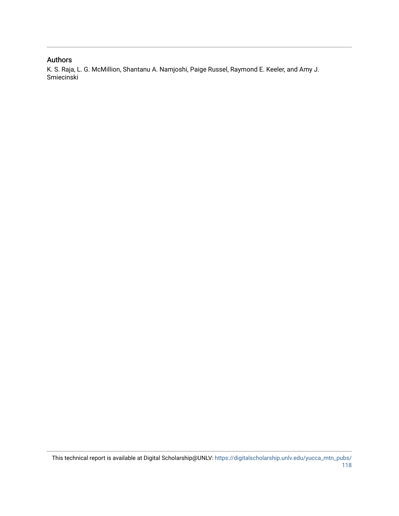### Authors

K. S. Raja, L. G. McMillion, Shantanu A. Namjoshi, Paige Russel, Raymond E. Keeler, and Amy J. Smiecinski

This technical report is available at Digital Scholarship@UNLV: [https://digitalscholarship.unlv.edu/yucca\\_mtn\\_pubs/](https://digitalscholarship.unlv.edu/yucca_mtn_pubs/118) [118](https://digitalscholarship.unlv.edu/yucca_mtn_pubs/118)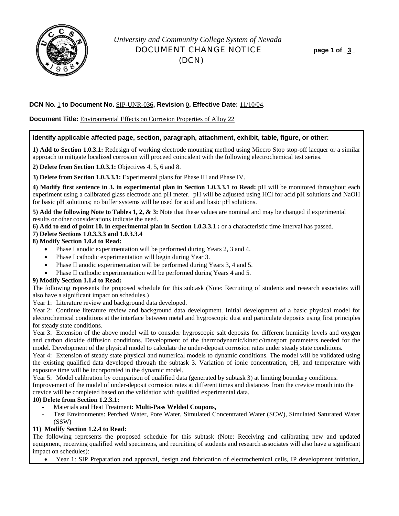

# *University and Community College System of Nevada* DOCUMENT CHANGE NOTICE **page 1 of \_3\_**  (DCN)

#### **DCN No.** 1 **to Document No.** SIP-UNR-036**, Revision** 0**, Effective Date:** 11/10/04.

**Document Title:** Environmental Effects on Corrosion Properties of Alloy 22

#### **Identify applicable affected page, section, paragraph, attachment, exhibit, table, figure, or other:**

**1) Add to Section 1.0.3.1:** Redesign of working electrode mounting method using Miccro Stop stop-off lacquer or a similar approach to mitigate localized corrosion will proceed coincident with the following electrochemical test series.

**2) Delete from Section 1.0.3.1:** Objectives 4, 5, 6 and 8.

**3) Delete from Section 1.0.3.3.1:** Experimental plans for Phase III and Phase IV.

**4) Modify first sentence in 3. in experimental plan in Section 1.0.3.3.1 to Read:** pH will be monitored throughout each experiment using a calibrated glass electrode and pH meter. pH will be adjusted using HCl for acid pH solutions and NaOH for basic pH solutions; no buffer systems will be used for acid and basic pH solutions.

**5) Add the following Note to Tables 1, 2, & 3:** Note that these values are nominal and may be changed if experimental results or other considerations indicate the need.

#### **6) Add to end of point 10. in experimental plan in Section 1.0.3.3.1 :** or a characteristic time interval has passed.

#### **7) Delete Sections 1.0.3.3.3 and 1.0.3.3.4**

#### **8) Modify Section 1.0.4 to Read:**

- Phase I anodic experimentation will be performed during Years 2, 3 and 4.
- Phase I cathodic experimentation will begin during Year 3.
- Phase II anodic experimentation will be performed during Years 3, 4 and 5.
- Phase II cathodic experimentation will be performed during Years 4 and 5.

#### **9) Modify Section 1.1.4 to Read:**

The following represents the proposed schedule for this subtask (Note: Recruiting of students and research associates will also have a significant impact on schedules.)

Year 1: Literature review and background data developed.

Year 2: Continue literature review and background data development. Initial development of a basic physical model for electrochemical conditions at the interface between metal and hygroscopic dust and particulate deposits using first principles for steady state conditions.

Year 3: Extension of the above model will to consider hygroscopic salt deposits for different humidity levels and oxygen and carbon dioxide diffusion conditions. Development of the thermodynamic/kinetic/transport parameters needed for the model. Development of the physical model to calculate the under-deposit corrosion rates under steady state conditions.

Year 4: Extension of steady state physical and numerical models to dynamic conditions. The model will be validated using the existing qualified data developed through the subtask 3. Variation of ionic concentration, pH, and temperature with exposure time will be incorporated in the dynamic model.

Year 5: Model calibration by comparison of qualified data (generated by subtask 3) at limiting boundary conditions.

Improvement of the model of under-deposit corrosion rates at different times and distances from the crevice mouth into the crevice will be completed based on the validation with qualified experimental data.

#### **10) Delete from Section 1.2.3.1:**

- Materials and Heat Treatment**: Multi-Pass Welded Coupons,**
- Test Environments: Perched Water, Pore Water, Simulated Concentrated Water (SCW), Simulated Saturated Water (SSW)

#### **11) Modify Section 1.2.4 to Read:**

The following represents the proposed schedule for this subtask (Note: Receiving and calibrating new and updated equipment, receiving qualified weld specimens, and recruiting of students and research associates will also have a significant impact on schedules):

• Year 1: SIP Preparation and approval, design and fabrication of electrochemical cells, IP development initiation,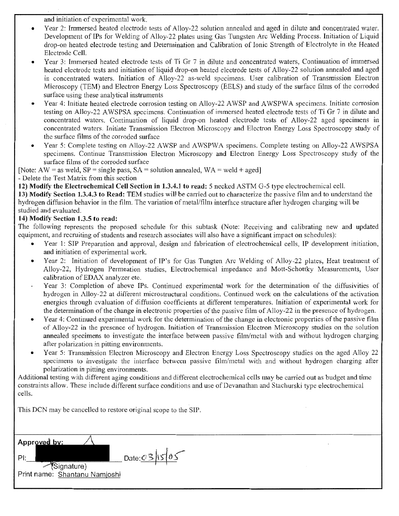and initiation of experimental work.

- Year 2: Immersed heated electrode tests of Alloy-22 solution annealed and aged in dilute and concentrated water. Development of IPs for Welding of Alloy-22 plates using Gas Tungsten Arc Welding Process. Initiation of Liquid drop-on heated electrode testing and Determination and Calibration of Ionic Strength of Electrolyte in the Heated Electrode Cell.
- Year 3: Immersed heated electrode tests of Ti Gr 7 in dilute and concentrated waters, Continuation of immersed heated electrode tests and initiation of liquid drop-on heated electrode tests of Alloy-22 solution annealed and aged in concentrated waters. Initiation of Alloy-22 as-weld specimens. User calibration of Transmission Electron Microscopy (TEM) and Electron Energy Loss Spectroscopy (EELS) and study of the surface films of the corroded surface using these analytical instruments
- Year 4: Initiate heated electrode corrosion testing on Alloy-22 AWSP and AWSPWA specimens. Initiate corrosion testing on Alloy-22 A WSPSA specimens. Continuation of immersed heated electrode tests of Ti Gr 7 in dilute and concentrated waters. Continuation of liquid drop-on heated electrode tests of Alloy-22 aged specimens in concentrated waters. Initiate Transmission Electron Microscopy and Electron Energy Loss Spectroscopy study of the surface films of the corroded surface
- Year 5: Complete testing on Alloy-22 AWSP and AWSPWA specimens. Complete testing on Alloy-22 AWSPSA specimens. Continue Transmission Electron Microscopy and Electron Energy Loss Spectroscopy study of the surface films of the corroded surface
- [Note: AW = as weld,  $SP = \text{single pass}$ ,  $SA = \text{solution annealed}$ ,  $WA = \text{weld} + \text{aged}$ ]

Delete the Test Matrix from this section

12) Modify the Electrochemical Cell Section in 1.3.4.1 to read: 5 necked ASTM G-5 type electrochemical cell.

13) Modify Section 1.3.4.3 to Read: TEM studies will be carried out to characterize the passive film and to understand the hydrogen diffusion behavior in the film. The variation of metal/film interface structure after hydrogen charging will be studied and evaluated.

### 14) Modify Section 1.3.5 to read:

The following represents the proposed schedule for this subtask (Note: Receiving and calibrating new and updated equipment, and recruiting of students and research associates will also have a significant impact on schedules):

- Year 1: SIP Preparation and approval, design and fabrication of electrochemical cells, IP development initiation, and initiation of experimental work.
- Year 2: Initiation of development of IP's for Gas Tungten Arc Welding of Alloy-22 plates, Heat treatment of Alloy-22, Hydrogen Permeation studies, Electrochemical impedance and Matt-Schottky Measurements, User calibration ofEDAX analyzer etc.
- Year 3: Completion of above IPs. Continued experimental work for the determination of the diffusivities of hydrogen in Alloy-22 at different microstructural conditions. Continued work on the calculations of the activation energies through evaluation of diffusion coefficients at different temperatures. Initiation of experimental work for the determination of the change in electronic properties of the passive film of Alloy-22 in the presence of hydrogen.
- Year 4: Continued experimental work for the determination of the change in electronic properties of the passive film of Alloy-22 in the presence of hydrogen. Initiation of Transmission Electron Microscopy studies on the solution annealed specimens to investigate the interface between passive film/metal with and without hydrogen charging after polarization in pitting environments.
- Year 5: Transmission Electron Microscopy and Electron Energy Loss Spectroscopy studies on the aged Alloy 22 specimens to investigate the interface between passive film/metal with and without hydrogen charging after polarization in pitting environments.

Additional testing with different aging conditions and different electrochemical cells may be carried out as budget and time constraints allow. These include different surface conditions and use of Devanathan and Stachurski type electrochemical cells.

This DCN may be cancelled to restore original scope to the SIP.

| Approved by:                  |                  |
|-------------------------------|------------------|
|                               | Date: $03 15 05$ |
| Signature)                    |                  |
| Print name: Shantanu Namjoshi |                  |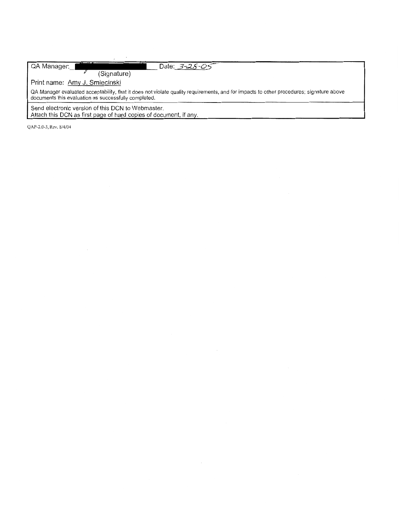| QA Manager:<br>Date: 3-26-05                                                                                                                                                                    |
|-------------------------------------------------------------------------------------------------------------------------------------------------------------------------------------------------|
| (Signature)                                                                                                                                                                                     |
| Print name: Amy J. Smiecinski                                                                                                                                                                   |
| QA Manager evaluated acceptability, that it does not violate quality requirements, and for impacts to other procedures; signature above<br>documents this evaluation as successfully completed. |
| Send electronic version of this DCN to Webmaster.                                                                                                                                               |
| Attach this DCN as first page of hard copies of document, if any.                                                                                                                               |

QAP-2.0-3, Rev. 8/4/04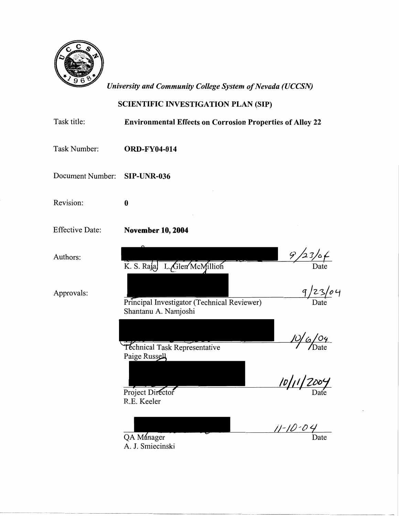

*University and Community College System of Nevada (UCCSN)* 

# SCIENTIFIC INVESTIGATION PLAN (SIP)

| Task title:            | <b>Environmental Effects on Corrosion Properties of Alloy 22</b>                  |                      |
|------------------------|-----------------------------------------------------------------------------------|----------------------|
| Task Number:           | <b>ORD-FY04-014</b>                                                               |                      |
| Document Number:       | <b>SIP-UNR-036</b>                                                                |                      |
| Revision:              | $\boldsymbol{0}$                                                                  |                      |
| <b>Effective Date:</b> | <b>November 10, 2004</b>                                                          |                      |
| Authors:               | K. S. Raja, L. Glen McMillion                                                     | 9/23/0/              |
| Approvals:             | Principal Investigator (Technical Reviewer)<br>Shantanu A. Namjoshi               | 9/23/04              |
|                        | Téchnical Task Representative<br>Paige Russell<br>Project Director<br>R.E. Keeler | 10/6/04<br><u> U</u> |
|                        | QA Manager<br>A. J. Smiecinski                                                    | $11 - 10 - 04$       |

---- --~---- -- --------- ------- ------------------------ --------------------------- ---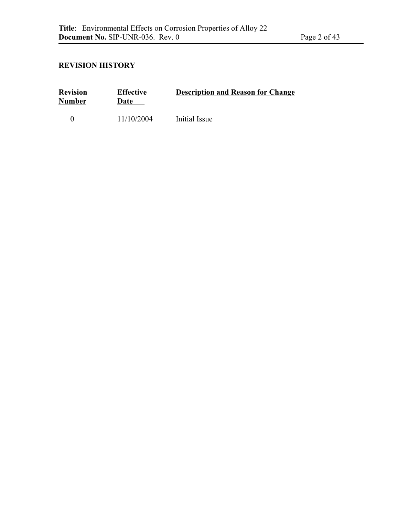# **REVISION HISTORY**

| <b>Revision</b><br><b>Number</b> | <b>Effective</b><br>Date | <b>Description and Reason for Change</b> |  |
|----------------------------------|--------------------------|------------------------------------------|--|
|                                  | 11/10/2004               | Initial Issue                            |  |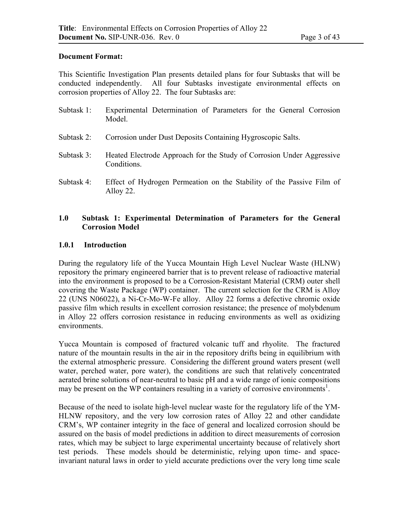### **Document Format:**

This Scientific Investigation Plan presents detailed plans for four Subtasks that will be conducted independently. All four Subtasks investigate environmental effects on corrosion properties of Alloy 22. The four Subtasks are:

| Subtask 1: Experimental Determination of Parameters for the General Corrosion<br>Model |  |
|----------------------------------------------------------------------------------------|--|
| Subtask 2: Corrosion under Dust Deposits Containing Hygroscopic Salts.                 |  |

- Subtask 3: Heated Electrode Approach for the Study of Corrosion Under Aggressive Conditions.
- Subtask 4: Effect of Hydrogen Permeation on the Stability of the Passive Film of Alloy 22.

### **1.0 Subtask 1: Experimental Determination of Parameters for the General Corrosion Model**

### **1.0.1 Introduction**

During the regulatory life of the Yucca Mountain High Level Nuclear Waste (HLNW) repository the primary engineered barrier that is to prevent release of radioactive material into the environment is proposed to be a Corrosion-Resistant Material (CRM) outer shell covering the Waste Package (WP) container. The current selection for the CRM is Alloy 22 (UNS N06022), a Ni-Cr-Mo-W-Fe alloy. Alloy 22 forms a defective chromic oxide passive film which results in excellent corrosion resistance; the presence of molybdenum in Alloy 22 offers corrosion resistance in reducing environments as well as oxidizing environments.

Yucca Mountain is composed of fractured volcanic tuff and rhyolite. The fractured nature of the mountain results in the air in the repository drifts being in equilibrium with the external atmospheric pressure. Considering the different ground waters present (well water, perched water, pore water), the conditions are such that relatively concentrated aerated brine solutions of near-neutral to basic pH and a wide range of ionic compositions may be present on the WP containers resulting in a variety of corrosive environments<sup>1</sup>.

Because of the need to isolate high-level nuclear waste for the regulatory life of the YM-HLNW repository, and the very low corrosion rates of Alloy 22 and other candidate CRM's, WP container integrity in the face of general and localized corrosion should be assured on the basis of model predictions in addition to direct measurements of corrosion rates, which may be subject to large experimental uncertainty because of relatively short test periods. These models should be deterministic, relying upon time- and spaceinvariant natural laws in order to yield accurate predictions over the very long time scale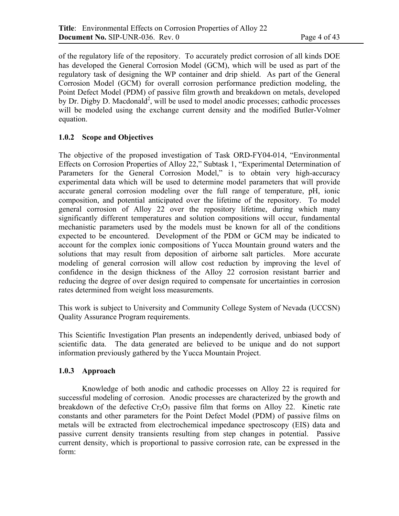of the regulatory life of the repository. To accurately predict corrosion of all kinds DOE has developed the General Corrosion Model (GCM), which will be used as part of the regulatory task of designing the WP container and drip shield. As part of the General Corrosion Model (GCM) for overall corrosion performance prediction modeling, the Point Defect Model (PDM) of passive film growth and breakdown on metals, developed by Dr. Digby D. Macdonald<sup>2</sup>, will be used to model anodic processes; cathodic processes will be modeled using the exchange current density and the modified Butler-Volmer equation.

# **1.0.2 Scope and Objectives**

The objective of the proposed investigation of Task ORD-FY04-014, "Environmental Effects on Corrosion Properties of Alloy 22," Subtask 1, "Experimental Determination of Parameters for the General Corrosion Model," is to obtain very high-accuracy experimental data which will be used to determine model parameters that will provide accurate general corrosion modeling over the full range of temperature, pH, ionic composition, and potential anticipated over the lifetime of the repository. To model general corrosion of Alloy 22 over the repository lifetime, during which many significantly different temperatures and solution compositions will occur, fundamental mechanistic parameters used by the models must be known for all of the conditions expected to be encountered. Development of the PDM or GCM may be indicated to account for the complex ionic compositions of Yucca Mountain ground waters and the solutions that may result from deposition of airborne salt particles. More accurate modeling of general corrosion will allow cost reduction by improving the level of confidence in the design thickness of the Alloy 22 corrosion resistant barrier and reducing the degree of over design required to compensate for uncertainties in corrosion rates determined from weight loss measurements.

This work is subject to University and Community College System of Nevada (UCCSN) Quality Assurance Program requirements.

This Scientific Investigation Plan presents an independently derived, unbiased body of scientific data. The data generated are believed to be unique and do not support information previously gathered by the Yucca Mountain Project.

# **1.0.3 Approach**

Knowledge of both anodic and cathodic processes on Alloy 22 is required for successful modeling of corrosion. Anodic processes are characterized by the growth and breakdown of the defective  $Cr_2O_3$  passive film that forms on Alloy 22. Kinetic rate constants and other parameters for the Point Defect Model (PDM) of passive films on metals will be extracted from electrochemical impedance spectroscopy (EIS) data and passive current density transients resulting from step changes in potential. Passive current density, which is proportional to passive corrosion rate, can be expressed in the form: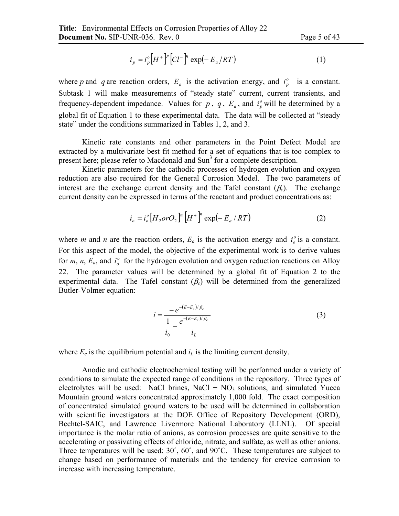$$
i_p = i_p^o [H^+]^p [Cl^-]^q \exp(-E_a/RT)
$$
 (1)

where *p* and *q* are reaction orders,  $E_a$  is the activation energy, and  $i_p^o$  is a constant. Subtask 1 will make measurements of "steady state" current, current transients, and frequency-dependent impedance. Values for  $p$ ,  $q$ ,  $E_a$ , and  $i_p^o$  will be determined by a global fit of Equation 1 to these experimental data. The data will be collected at "steady state" under the conditions summarized in Tables 1, 2, and 3.

Kinetic rate constants and other parameters in the Point Defect Model are extracted by a multivariate best fit method for a set of equations that is too complex to present here; please refer to Macdonald and Sun<sup>3</sup> for a complete description.

Kinetic parameters for the cathodic processes of hydrogen evolution and oxygen reduction are also required for the General Corrosion Model. The two parameters of interest are the exchange current density and the Tafel constant  $(\beta_c)$ . The exchange current density can be expressed in terms of the reactant and product concentrations as:

$$
i_o = i_o^o [H_2 or O_2]^m [H^+]^n \exp(-E_a / RT)
$$
 (2)

where *m* and *n* are the reaction orders,  $E_a$  is the activation energy and  $i_o^o$  is a constant. For this aspect of the model, the objective of the experimental work is to derive values for *m*, *n*,  $E_a$ , and  $i_o^o$  for the hydrogen evolution and oxygen reduction reactions on Alloy 22. The parameter values will be determined by a global fit of Equation 2 to the experimental data. The Tafel constant  $(\beta_c)$  will be determined from the generalized Butler-Volmer equation:

$$
i = \frac{-e^{-(E-E_e)/\beta_c}}{\frac{1}{i_0} - \frac{e^{-(E-E_e)/\beta_c}}{i_L}}
$$
(3)

where  $E_e$  is the equilibrium potential and  $i_l$  is the limiting current density.

 Anodic and cathodic electrochemical testing will be performed under a variety of conditions to simulate the expected range of conditions in the repository. Three types of electrolytes will be used: NaCl brines, NaCl +  $NO<sub>3</sub>$  solutions, and simulated Yucca Mountain ground waters concentrated approximately 1,000 fold. The exact composition of concentrated simulated ground waters to be used will be determined in collaboration with scientific investigators at the DOE Office of Repository Development (ORD), Bechtel-SAIC, and Lawrence Livermore National Laboratory (LLNL). Of special importance is the molar ratio of anions, as corrosion processes are quite sensitive to the accelerating or passivating effects of chloride, nitrate, and sulfate, as well as other anions. Three temperatures will be used: 30°, 60°, and 90°C. These temperatures are subject to change based on performance of materials and the tendency for crevice corrosion to increase with increasing temperature.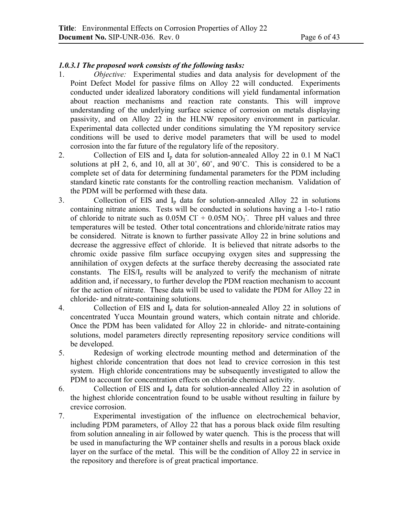### *1.0.3.1 The proposed work consists of the following tasks:*

- 1. *Objective:* Experimental studies and data analysis for development of the Point Defect Model for passive films on Alloy 22 will conducted. Experiments conducted under idealized laboratory conditions will yield fundamental information about reaction mechanisms and reaction rate constants. This will improve understanding of the underlying surface science of corrosion on metals displaying passivity, and on Alloy 22 in the HLNW repository environment in particular. Experimental data collected under conditions simulating the YM repository service conditions will be used to derive model parameters that will be used to model corrosion into the far future of the regulatory life of the repository.
- 2. Collection of EIS and I<sub>p</sub> data for solution-annealed Alloy 22 in 0.1 M NaCl solutions at pH 2, 6, and 10, all at 30˚, 60˚, and 90˚C. This is considered to be a complete set of data for determining fundamental parameters for the PDM including standard kinetic rate constants for the controlling reaction mechanism. Validation of the PDM will be performed with these data.
- 3. Collection of EIS and  $I<sub>p</sub>$  data for solution-annealed Alloy 22 in solutions containing nitrate anions. Tests will be conducted in solutions having a 1-to-1 ratio of chloride to nitrate such as  $0.05M$  Cl<sup>+</sup> +  $0.05M$  NO<sub>3</sub><sup>-</sup>. Three pH values and three temperatures will be tested. Other total concentrations and chloride/nitrate ratios may be considered. Nitrate is known to further passivate Alloy 22 in brine solutions and decrease the aggressive effect of chloride. It is believed that nitrate adsorbs to the chromic oxide passive film surface occupying oxygen sites and suppressing the annihilation of oxygen defects at the surface thereby decreasing the associated rate constants. The  $EIS/I<sub>p</sub>$  results will be analyzed to verify the mechanism of nitrate addition and, if necessary, to further develop the PDM reaction mechanism to account for the action of nitrate. These data will be used to validate the PDM for Alloy 22 in chloride- and nitrate-containing solutions.
- 4. Collection of EIS and  $I_p$  data for solution-annealed Alloy 22 in solutions of concentrated Yucca Mountain ground waters, which contain nitrate and chloride. Once the PDM has been validated for Alloy 22 in chloride- and nitrate-containing solutions, model parameters directly representing repository service conditions will be developed.
- 5. Redesign of working electrode mounting method and determination of the highest chloride concentration that does not lead to crevice corrosion in this test system. High chloride concentrations may be subsequently investigated to allow the PDM to account for concentration effects on chloride chemical activity.
- 6. Collection of EIS and  $I<sub>p</sub>$  data for solution-annealed Alloy 22 in asolution of the highest chloride concentration found to be usable without resulting in failure by crevice corrosion.
- 7. Experimental investigation of the influence on electrochemical behavior, including PDM parameters, of Alloy 22 that has a porous black oxide film resulting from solution annealing in air followed by water quench. This is the process that will be used in manufacturing the WP container shells and results in a porous black oxide layer on the surface of the metal. This will be the condition of Alloy 22 in service in the repository and therefore is of great practical importance.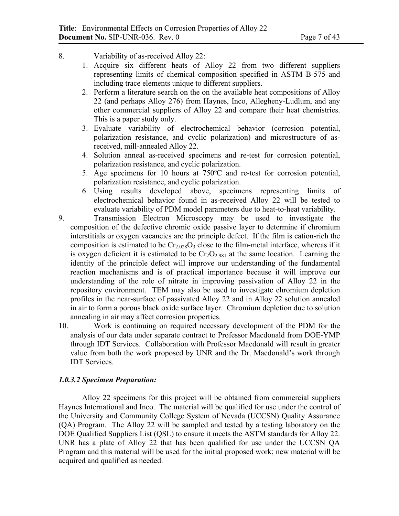- 8. Variability of as-received Alloy 22:
	- 1. Acquire six different heats of Alloy 22 from two different suppliers representing limits of chemical composition specified in ASTM B-575 and including trace elements unique to different suppliers.
	- 2. Perform a literature search on the on the available heat compositions of Alloy 22 (and perhaps Alloy 276) from Haynes, Inco, Allegheny-Ludlum, and any other commercial suppliers of Alloy 22 and compare their heat chemistries. This is a paper study only.
	- 3. Evaluate variability of electrochemical behavior (corrosion potential, polarization resistance, and cyclic polarization) and microstructure of asreceived, mill-annealed Alloy 22.
	- 4. Solution anneal as-received specimens and re-test for corrosion potential, polarization resistance, and cyclic polarization.
	- 5. Age specimens for 10 hours at 750ºC and re-test for corrosion potential, polarization resistance, and cyclic polarization.
	- 6. Using results developed above, specimens representing limits of electrochemical behavior found in as-received Alloy 22 will be tested to evaluate variability of PDM model parameters due to heat-to-heat variability.
- 9. Transmission Electron Microscopy may be used to investigate the composition of the defective chromic oxide passive layer to determine if chromium interstitials or oxygen vacancies are the principle defect. If the film is cation-rich the composition is estimated to be  $Cr<sub>2.028</sub>O<sub>3</sub>$  close to the film-metal interface, whereas if it is oxygen deficient it is estimated to be  $Cr_2O_{2.981}$  at the same location. Learning the identity of the principle defect will improve our understanding of the fundamental reaction mechanisms and is of practical importance because it will improve our understanding of the role of nitrate in improving passivation of Alloy 22 in the repository environment. TEM may also be used to investigate chromium depletion profiles in the near-surface of passivated Alloy 22 and in Alloy 22 solution annealed in air to form a porous black oxide surface layer. Chromium depletion due to solution annealing in air may affect corrosion properties.
- 10. Work is continuing on required necessary development of the PDM for the analysis of our data under separate contract to Professor Macdonald from DOE-YMP through IDT Services. Collaboration with Professor Macdonald will result in greater value from both the work proposed by UNR and the Dr. Macdonald's work through IDT Services.

### *1.0.3.2 Specimen Preparation:*

Alloy 22 specimens for this project will be obtained from commercial suppliers Haynes International and Inco. The material will be qualified for use under the control of the University and Community College System of Nevada (UCCSN) Quality Assurance (QA) Program. The Alloy 22 will be sampled and tested by a testing laboratory on the DOE Qualified Suppliers List (QSL) to ensure it meets the ASTM standards for Alloy 22. UNR has a plate of Alloy 22 that has been qualified for use under the UCCSN QA Program and this material will be used for the initial proposed work; new material will be acquired and qualified as needed.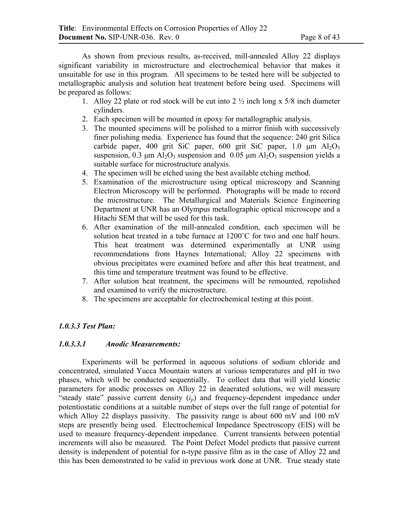As shown from previous results, as-received, mill-annealed Alloy 22 displays significant variability in microstructure and electrochemical behavior that makes it unsuitable for use in this program. All specimens to be tested here will be subjected to metallographic analysis and solution heat treatment before being used. Specimens will be prepared as follows:

- 1. Alloy 22 plate or rod stock will be cut into  $2\frac{1}{2}$  inch long x 5/8 inch diameter cylinders.
- 2. Each specimen will be mounted in epoxy for metallographic analysis.
- 3. The mounted specimens will be polished to a mirror finish with successively finer polishing media. Experience has found that the sequence: 240 grit Silica carbide paper, 400 grit SiC paper, 600 grit SiC paper, 1.0  $\mu$ m Al<sub>2</sub>O<sub>3</sub> suspension, 0.3  $\mu$ m Al<sub>2</sub>O<sub>3</sub> suspension and 0.05  $\mu$ m Al<sub>2</sub>O<sub>3</sub> suspension yields a suitable surface for microstructure analysis.
- 4. The specimen will be etched using the best available etching method.
- 5. Examination of the microstructure using optical microscopy and Scanning Electron Microscopy will be performed. Photographs will be made to record the microstructure. The Metallurgical and Materials Science Engineering Department at UNR has an Olympus metallographic optical microscope and a Hitachi SEM that will be used for this task.
- 6. After examination of the mill-annealed condition, each specimen will be solution heat treated in a tube furnace at 1200°C for two and one half hours. This heat treatment was determined experimentally at UNR using recommendations from Haynes International; Alloy 22 specimens with obvious precipitates were examined before and after this heat treatment, and this time and temperature treatment was found to be effective.
- 7. After solution heat treatment, the specimens will be remounted, repolished and examined to verify the microstructure.
- 8. The specimens are acceptable for electrochemical testing at this point.

# *1.0.3.3 Test Plan:*

### *1.0.3.3.1 Anodic Measurements:*

Experiments will be performed in aqueous solutions of sodium chloride and concentrated, simulated Yucca Mountain waters at various temperatures and pH in two phases, which will be conducted sequentially. To collect data that will yield kinetic parameters for anodic processes on Alloy 22 in deaerated solutions, we will measure "steady state" passive current density  $(i_p)$  and frequency-dependent impedance under potentiostatic conditions at a suitable number of steps over the full range of potential for which Alloy 22 displays passivity. The passivity range is about 600 mV and 100 mV steps are presently being used. Electrochemical Impedance Spectroscopy (EIS) will be used to measure frequency-dependent impedance. Current transients between potential increments will also be measured. The Point Defect Model predicts that passive current density is independent of potential for n-type passive film as in the case of Alloy 22 and this has been demonstrated to be valid in previous work done at UNR. True steady state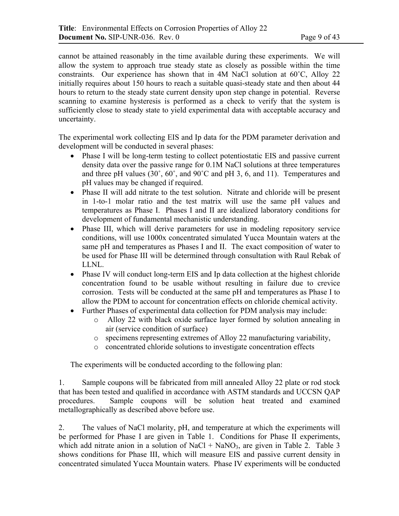cannot be attained reasonably in the time available during these experiments. We will allow the system to approach true steady state as closely as possible within the time constraints. Our experience has shown that in 4M NaCl solution at  $60^{\circ}$ C, Alloy 22 initially requires about 150 hours to reach a suitable quasi-steady state and then about 44 hours to return to the steady state current density upon step change in potential. Reverse scanning to examine hysteresis is performed as a check to verify that the system is sufficiently close to steady state to yield experimental data with acceptable accuracy and uncertainty.

The experimental work collecting EIS and Ip data for the PDM parameter derivation and development will be conducted in several phases:

- Phase I will be long-term testing to collect potentiostatic EIS and passive current density data over the passive range for 0.1M NaCl solutions at three temperatures and three pH values (30˚, 60˚, and 90˚C and pH 3, 6, and 11). Temperatures and pH values may be changed if required.
- Phase II will add nitrate to the test solution. Nitrate and chloride will be present in 1-to-1 molar ratio and the test matrix will use the same pH values and temperatures as Phase I. Phases I and II are idealized laboratory conditions for development of fundamental mechanistic understanding.
- Phase III, which will derive parameters for use in modeling repository service conditions, will use 1000x concentrated simulated Yucca Mountain waters at the same pH and temperatures as Phases I and II. The exact composition of water to be used for Phase III will be determined through consultation with Raul Rebak of LLNL.
- Phase IV will conduct long-term EIS and Ip data collection at the highest chloride concentration found to be usable without resulting in failure due to crevice corrosion. Tests will be conducted at the same pH and temperatures as Phase I to allow the PDM to account for concentration effects on chloride chemical activity.
- Further Phases of experimental data collection for PDM analysis may include:
	- o Alloy 22 with black oxide surface layer formed by solution annealing in air (service condition of surface)
	- o specimens representing extremes of Alloy 22 manufacturing variability,
	- o concentrated chloride solutions to investigate concentration effects

The experiments will be conducted according to the following plan:

1. Sample coupons will be fabricated from mill annealed Alloy 22 plate or rod stock that has been tested and qualified in accordance with ASTM standards and UCCSN QAP procedures. Sample coupons will be solution heat treated and examined metallographically as described above before use.

2. The values of NaCl molarity, pH, and temperature at which the experiments will be performed for Phase I are given in Table 1. Conditions for Phase II experiments, which add nitrate anion in a solution of NaCl + NaNO<sub>3</sub>, are given in Table 2. Table 3 shows conditions for Phase III, which will measure EIS and passive current density in concentrated simulated Yucca Mountain waters. Phase IV experiments will be conducted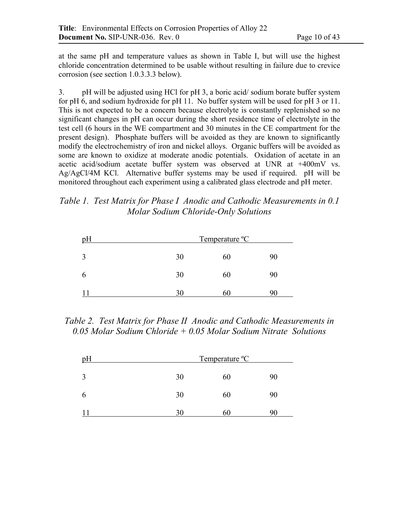at the same pH and temperature values as shown in Table I, but will use the highest chloride concentration determined to be usable without resulting in failure due to crevice corrosion (see section 1.0.3.3.3 below).

3. pH will be adjusted using HCl for pH 3, a boric acid/ sodium borate buffer system for pH 6, and sodium hydroxide for pH 11. No buffer system will be used for pH 3 or 11. This is not expected to be a concern because electrolyte is constantly replenished so no significant changes in pH can occur during the short residence time of electrolyte in the test cell (6 hours in the WE compartment and 30 minutes in the CE compartment for the present design). Phosphate buffers will be avoided as they are known to significantly modify the electrochemistry of iron and nickel alloys. Organic buffers will be avoided as some are known to oxidize at moderate anodic potentials. Oxidation of acetate in an acetic acid/sodium acetate buffer system was observed at UNR at +400mV vs. Ag/AgCl/4M KCl. Alternative buffer systems may be used if required. pH will be monitored throughout each experiment using a calibrated glass electrode and pH meter.

*Table 1. Test Matrix for Phase I Anodic and Cathodic Measurements in 0.1 Molar Sodium Chloride-Only Solutions* 

| рH          | Temperature <sup>o</sup> C |    |    |
|-------------|----------------------------|----|----|
| 2           | 30                         | 60 | 90 |
| $\mathbf b$ | 30                         | 60 | 90 |
|             | 30                         | ou |    |

*Table 2. Test Matrix for Phase II Anodic and Cathodic Measurements in 0.05 Molar Sodium Chloride + 0.05 Molar Sodium Nitrate Solutions* 

| pH          |    | Temperature <sup>o</sup> C |    |
|-------------|----|----------------------------|----|
| 2           | 30 | 60                         | 90 |
| $\mathbf b$ | 30 | 60                         | 90 |
|             | 30 | 60                         |    |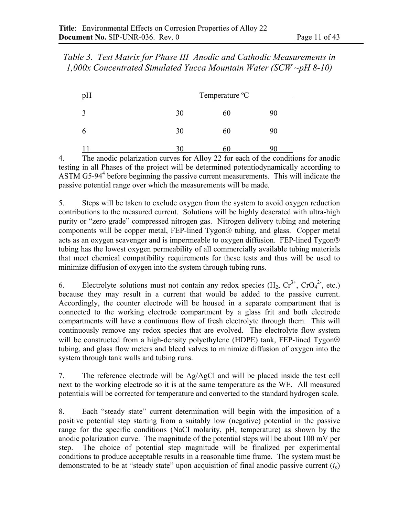*Table 3. Test Matrix for Phase III Anodic and Cathodic Measurements in 1,000x Concentrated Simulated Yucca Mountain Water (SCW ~pH 8-10)* 

|    | Temperature <sup>o</sup> C |    |
|----|----------------------------|----|
| 30 | 60                         | 90 |
| 30 | 60                         | 90 |
|    |                            |    |

4. The anodic polarization curves for Alloy 22 for each of the conditions for anodic testing in all Phases of the project will be determined potentiodynamically according to ASTM G5-94 $4$  before beginning the passive current measurements. This will indicate the passive potential range over which the measurements will be made.

5. Steps will be taken to exclude oxygen from the system to avoid oxygen reduction contributions to the measured current. Solutions will be highly deaerated with ultra-high purity or "zero grade" compressed nitrogen gas. Nitrogen delivery tubing and metering components will be copper metal, FEP-lined Tygon® tubing, and glass. Copper metal acts as an oxygen scavenger and is impermeable to oxygen diffusion. FEP-lined Tygon tubing has the lowest oxygen permeability of all commercially available tubing materials that meet chemical compatibility requirements for these tests and thus will be used to minimize diffusion of oxygen into the system through tubing runs.

6. Electrolyte solutions must not contain any redox species  $(H_2, Cr^{3+}, CrO_4^{2-}, etc.)$ because they may result in a current that would be added to the passive current. Accordingly, the counter electrode will be housed in a separate compartment that is connected to the working electrode compartment by a glass frit and both electrode compartments will have a continuous flow of fresh electrolyte through them. This will continuously remove any redox species that are evolved. The electrolyte flow system will be constructed from a high-density polyethylene (HDPE) tank, FEP-lined Tygon<sup>®</sup> tubing, and glass flow meters and bleed valves to minimize diffusion of oxygen into the system through tank walls and tubing runs.

7. The reference electrode will be Ag/AgCl and will be placed inside the test cell next to the working electrode so it is at the same temperature as the WE. All measured potentials will be corrected for temperature and converted to the standard hydrogen scale.

8. Each "steady state" current determination will begin with the imposition of a positive potential step starting from a suitably low (negative) potential in the passive range for the specific conditions (NaCl molarity, pH, temperature) as shown by the anodic polarization curve. The magnitude of the potential steps will be about 100 mV per step. The choice of potential step magnitude will be finalized per experimental conditions to produce acceptable results in a reasonable time frame. The system must be demonstrated to be at "steady state" upon acquisition of final anodic passive current (*ip*)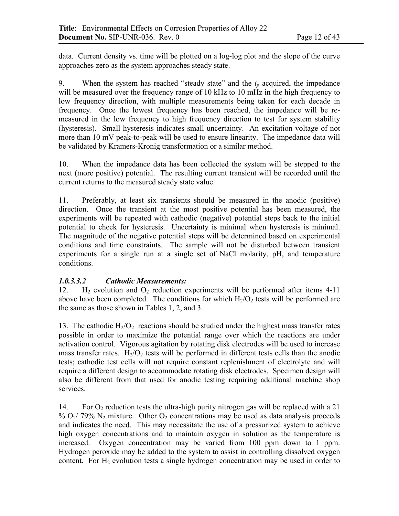data. Current density vs. time will be plotted on a log-log plot and the slope of the curve approaches zero as the system approaches steady state.

9. When the system has reached "steady state" and the  $i<sub>p</sub>$  acquired, the impedance will be measured over the frequency range of 10 kHz to 10 mHz in the high frequency to low frequency direction, with multiple measurements being taken for each decade in frequency. Once the lowest frequency has been reached, the impedance will be remeasured in the low frequency to high frequency direction to test for system stability (hysteresis). Small hysteresis indicates small uncertainty. An excitation voltage of not more than 10 mV peak-to-peak will be used to ensure linearity. The impedance data will be validated by Kramers-Kronig transformation or a similar method.

10. When the impedance data has been collected the system will be stepped to the next (more positive) potential. The resulting current transient will be recorded until the current returns to the measured steady state value.

11. Preferably, at least six transients should be measured in the anodic (positive) direction. Once the transient at the most positive potential has been measured, the experiments will be repeated with cathodic (negative) potential steps back to the initial potential to check for hysteresis. Uncertainty is minimal when hysteresis is minimal. The magnitude of the negative potential steps will be determined based on experimental conditions and time constraints. The sample will not be disturbed between transient experiments for a single run at a single set of NaCl molarity, pH, and temperature conditions.

# *1.0.3.3.2 Cathodic Measurements:*

12. H<sub>2</sub> evolution and  $O_2$  reduction experiments will be performed after items 4-11 above have been completed. The conditions for which  $H_2/O_2$  tests will be performed are the same as those shown in Tables 1, 2, and 3.

13. The cathodic  $H_2/O_2$  reactions should be studied under the highest mass transfer rates possible in order to maximize the potential range over which the reactions are under activation control. Vigorous agitation by rotating disk electrodes will be used to increase mass transfer rates.  $H_2/O_2$  tests will be performed in different tests cells than the anodic tests; cathodic test cells will not require constant replenishment of electrolyte and will require a different design to accommodate rotating disk electrodes. Specimen design will also be different from that used for anodic testing requiring additional machine shop services.

14. For  $O_2$  reduction tests the ultra-high purity nitrogen gas will be replaced with a 21 %  $O_2$ / 79% N<sub>2</sub> mixture. Other  $O_2$  concentrations may be used as data analysis proceeds and indicates the need. This may necessitate the use of a pressurized system to achieve high oxygen concentrations and to maintain oxygen in solution as the temperature is increased. Oxygen concentration may be varied from 100 ppm down to 1 ppm. Hydrogen peroxide may be added to the system to assist in controlling dissolved oxygen content. For  $H_2$  evolution tests a single hydrogen concentration may be used in order to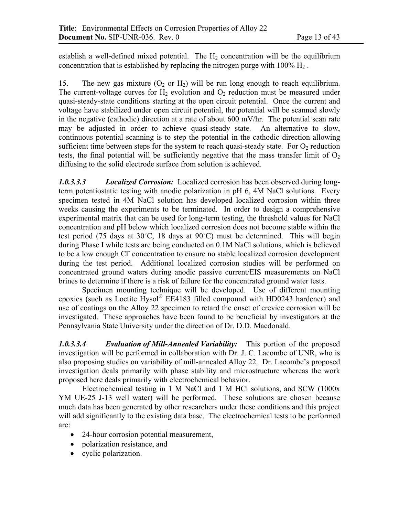establish a well-defined mixed potential. The  $H_2$  concentration will be the equilibrium concentration that is established by replacing the nitrogen purge with  $100\%$  H<sub>2</sub>.

15. The new gas mixture  $(O_2 \text{ or } H_2)$  will be run long enough to reach equilibrium. The current-voltage curves for  $H_2$  evolution and  $O_2$  reduction must be measured under quasi-steady-state conditions starting at the open circuit potential. Once the current and voltage have stabilized under open circuit potential, the potential will be scanned slowly in the negative (cathodic) direction at a rate of about 600 mV/hr. The potential scan rate may be adjusted in order to achieve quasi-steady state. An alternative to slow, continuous potential scanning is to step the potential in the cathodic direction allowing sufficient time between steps for the system to reach quasi-steady state. For  $O<sub>2</sub>$  reduction tests, the final potential will be sufficiently negative that the mass transfer limit of  $O_2$ diffusing to the solid electrode surface from solution is achieved.

*1.0.3.3.3 Localized Corrosion:*Localized corrosion has been observed during longterm potentiostatic testing with anodic polarization in pH 6, 4M NaCl solutions. Every specimen tested in 4M NaCl solution has developed localized corrosion within three weeks causing the experiments to be terminated. In order to design a comprehensive experimental matrix that can be used for long-term testing, the threshold values for NaCl concentration and pH below which localized corrosion does not become stable within the test period (75 days at 30˚C, 18 days at 90˚C) must be determined. This will begin during Phase I while tests are being conducted on 0.1M NaCl solutions, which is believed to be a low enough Cl<sup>-</sup> concentration to ensure no stable localized corrosion development during the test period. Additional localized corrosion studies will be performed on concentrated ground waters during anodic passive current/EIS measurements on NaCl brines to determine if there is a risk of failure for the concentrated ground water tests.

 Specimen mounting technique will be developed. Use of different mounting epoxies (such as Loctite Hysol® EE4183 filled compound with HD0243 hardener) and use of coatings on the Alloy 22 specimen to retard the onset of crevice corrosion will be investigated. These approaches have been found to be beneficial by investigators at the Pennsylvania State University under the direction of Dr. D.D. Macdonald.

*1.0.3.3.4 Evaluation of Mill-Annealed Variability:* This portion of the proposed investigation will be performed in collaboration with Dr. J. C. Lacombe of UNR, who is also proposing studies on variability of mill-annealed Alloy 22. Dr. Lacombe's proposed investigation deals primarily with phase stability and microstructure whereas the work proposed here deals primarily with electrochemical behavior.

 Electrochemical testing in 1 M NaCl and 1 M HCl solutions, and SCW (1000x YM UE-25 J-13 well water) will be performed. These solutions are chosen because much data has been generated by other researchers under these conditions and this project will add significantly to the existing data base. The electrochemical tests to be performed are:

- 24-hour corrosion potential measurement,
- polarization resistance, and
- cyclic polarization.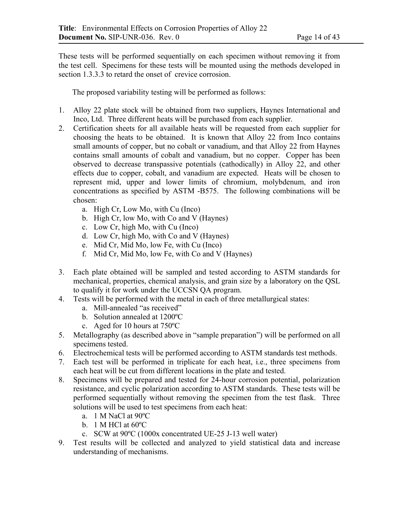These tests will be performed sequentially on each specimen without removing it from the test cell. Specimens for these tests will be mounted using the methods developed in section 1.3.3.3 to retard the onset of crevice corrosion.

The proposed variability testing will be performed as follows:

- 1. Alloy 22 plate stock will be obtained from two suppliers, Haynes International and Inco, Ltd. Three different heats will be purchased from each supplier.
- 2. Certification sheets for all available heats will be requested from each supplier for choosing the heats to be obtained. It is known that Alloy 22 from Inco contains small amounts of copper, but no cobalt or vanadium, and that Alloy 22 from Haynes contains small amounts of cobalt and vanadium, but no copper. Copper has been observed to decrease transpassive potentials (cathodically) in Alloy 22, and other effects due to copper, cobalt, and vanadium are expected. Heats will be chosen to represent mid, upper and lower limits of chromium, molybdenum, and iron concentrations as specified by ASTM -B575. The following combinations will be chosen:
	- a. High Cr, Low Mo, with Cu (Inco)
	- b. High Cr, low Mo, with Co and V (Haynes)
	- c. Low Cr, high Mo, with Cu (Inco)
	- d. Low Cr, high Mo, with Co and V (Haynes)
	- e. Mid Cr, Mid Mo, low Fe, with Cu (Inco)
	- f. Mid Cr, Mid Mo, low Fe, with Co and V (Haynes)
- 3. Each plate obtained will be sampled and tested according to ASTM standards for mechanical, properties, chemical analysis, and grain size by a laboratory on the QSL to qualify it for work under the UCCSN QA program.
- 4. Tests will be performed with the metal in each of three metallurgical states:
	- a. Mill-annealed "as received"
	- b. Solution annealed at 1200ºC
	- c. Aged for 10 hours at 750ºC
- 5. Metallography (as described above in "sample preparation") will be performed on all specimens tested.
- 6. Electrochemical tests will be performed according to ASTM standards test methods.
- 7. Each test will be performed in triplicate for each heat, i.e., three specimens from each heat will be cut from different locations in the plate and tested.
- 8. Specimens will be prepared and tested for 24-hour corrosion potential, polarization resistance, and cyclic polarization according to ASTM standards. These tests will be performed sequentially without removing the specimen from the test flask. Three solutions will be used to test specimens from each heat:
	- a. 1 M NaCl at 90ºC
	- b. 1 M HCl at 60ºC
	- c. SCW at 90ºC (1000x concentrated UE-25 J-13 well water)
- 9. Test results will be collected and analyzed to yield statistical data and increase understanding of mechanisms.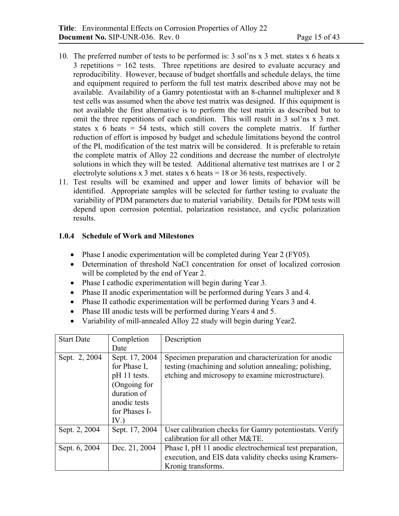- 10. The preferred number of tests to be performed is: 3 sol'ns x 3 met. states x 6 heats x 3 repetitions = 162 tests. Three repetitions are desired to evaluate accuracy and reproducibility. However, because of budget shortfalls and schedule delays, the time and equipment required to perform the full test matrix described above may not be available. Availability of a Gamry potentiostat with an 8-channel multiplexer and 8 test cells was assumed when the above test matrix was designed. If this equipment is not available the first alternative is to perform the test matrix as described but to omit the three repetitions of each condition. This will result in 3 sol'ns x 3 met. states  $x$  6 heats = 54 tests, which still covers the complete matrix. If further reduction of effort is imposed by budget and schedule limitations beyond the control of the PI, modification of the test matrix will be considered. It is preferable to retain the complete matrix of Alloy 22 conditions and decrease the number of electrolyte solutions in which they will be tested. Additional alternative test matrixes are 1 or 2 electrolyte solutions x 3 met. states x 6 heats = 18 or 36 tests, respectively.
- 11. Test results will be examined and upper and lower limits of behavior will be identified. Appropriate samples will be selected for further testing to evaluate the variability of PDM parameters due to material variability. Details for PDM tests will depend upon corrosion potential, polarization resistance, and cyclic polarization results.

### **1.0.4 Schedule of Work and Milestones**

- Phase I anodic experimentation will be completed during Year 2 (FY05).
- Determination of threshold NaCl concentration for onset of localized corrosion will be completed by the end of Year 2.
- Phase I cathodic experimentation will begin during Year 3.
- Phase II anodic experimentation will be performed during Years 3 and 4.
- Phase II cathodic experimentation will be performed during Years 3 and 4.
- Phase III anodic tests will be performed during Years 4 and 5.
- Variability of mill-annealed Alloy 22 study will begin during Year2.

| <b>Start Date</b> | Completion                                                                                                            | Description                                                                                                                                                        |
|-------------------|-----------------------------------------------------------------------------------------------------------------------|--------------------------------------------------------------------------------------------------------------------------------------------------------------------|
|                   | Date                                                                                                                  |                                                                                                                                                                    |
| Sept. 2, 2004     | Sept. 17, 2004<br>for Phase I.<br>pH 11 tests.<br>(Ongoing for<br>duration of<br>anodic tests<br>for Phases I-<br>IV. | Specimen preparation and characterization for anodic<br>testing (machining and solution annealing; polishing,<br>etching and microsopy to examine microstructure). |
| Sept. 2, 2004     | Sept. 17, 2004                                                                                                        | User calibration checks for Gamry potentiostats. Verify<br>calibration for all other M&TE.                                                                         |
| Sept. 6, 2004     | Dec. 21, 2004                                                                                                         | Phase I, pH 11 anodic electrochemical test preparation,<br>execution, and EIS data validity checks using Kramers-<br>Kronig transforms.                            |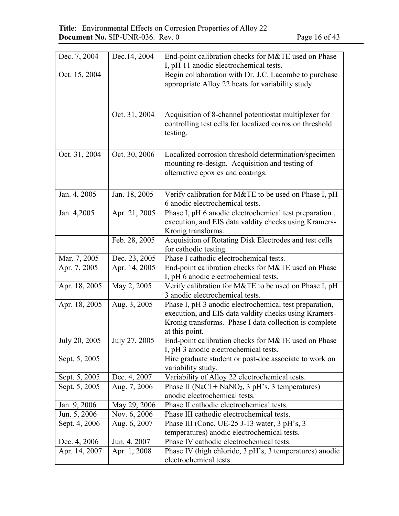| Dec. 7, 2004  | Dec. 14, 2004 | End-point calibration checks for M&TE used on Phase                                          |
|---------------|---------------|----------------------------------------------------------------------------------------------|
|               |               | I, pH 11 anodic electrochemical tests.                                                       |
| Oct. 15, 2004 |               | Begin collaboration with Dr. J.C. Lacombe to purchase                                        |
|               |               | appropriate Alloy 22 heats for variability study.                                            |
|               |               |                                                                                              |
|               |               |                                                                                              |
|               | Oct. 31, 2004 | Acquisition of 8-channel potentiostat multiplexer for                                        |
|               |               | controlling test cells for localized corrosion threshold                                     |
|               |               | testing.                                                                                     |
|               |               |                                                                                              |
| Oct. 31, 2004 | Oct. 30, 2006 | Localized corrosion threshold determination/specimen                                         |
|               |               | mounting re-design. Acquisition and testing of                                               |
|               |               | alternative epoxies and coatings.                                                            |
|               |               |                                                                                              |
|               |               |                                                                                              |
| Jan. 4, 2005  | Jan. 18, 2005 | Verify calibration for M&TE to be used on Phase I, pH                                        |
|               |               | 6 anodic electrochemical tests.                                                              |
| Jan. 4,2005   | Apr. 21, 2005 | Phase I, pH 6 anodic electrochemical test preparation,                                       |
|               |               | execution, and EIS data valdity checks using Kramers-                                        |
|               |               | Kronig transforms.                                                                           |
|               | Feb. 28, 2005 | Acquisition of Rotating Disk Electrodes and test cells                                       |
|               |               | for cathodic testing.                                                                        |
| Mar. 7, 2005  | Dec. 23, 2005 | Phase I cathodic electrochemical tests.                                                      |
| Apr. 7, 2005  | Apr. 14, 2005 | End-point calibration checks for M&TE used on Phase<br>I, pH 6 anodic electrochemical tests. |
| Apr. 18, 2005 | May 2, 2005   | Verify calibration for M&TE to be used on Phase I, pH                                        |
|               |               | 3 anodic electrochemical tests.                                                              |
| Apr. 18, 2005 | Aug. 3, 2005  | Phase I, pH 3 anodic electrochemical test preparation,                                       |
|               |               | execution, and EIS data valdity checks using Kramers-                                        |
|               |               | Kronig transforms. Phase I data collection is complete                                       |
|               |               | at this point.                                                                               |
| July 20, 2005 | July 27, 2005 | End-point calibration checks for M&TE used on Phase                                          |
|               |               | I, pH 3 anodic electrochemical tests.                                                        |
| Sept. 5, 2005 |               | Hire graduate student or post-doc associate to work on                                       |
|               |               | variability study.                                                                           |
| Sept. 5, 2005 | Dec. 4, 2007  | Variability of Alloy 22 electrochemical tests.                                               |
| Sept. 5, 2005 | Aug. 7, 2006  | Phase II (NaCl + NaNO <sub>3</sub> , 3 pH's, 3 temperatures)                                 |
|               |               | anodic electrochemical tests.                                                                |
| Jan. 9, 2006  | May 29, 2006  | Phase II cathodic electrochemical tests.                                                     |
| Jun. 5, 2006  | Nov. 6, 2006  | Phase III cathodic electrochemical tests.                                                    |
| Sept. 4, 2006 | Aug. 6, 2007  | Phase III (Conc. UE-25 J-13 water, 3 pH's, 3                                                 |
|               |               | temperatures) anodic electrochemical tests.                                                  |
| Dec. 4, 2006  | Jun. 4, 2007  | Phase IV cathodic electrochemical tests.                                                     |
| Apr. 14, 2007 | Apr. 1, 2008  | Phase IV (high chloride, 3 pH's, 3 temperatures) anodic                                      |
|               |               | electrochemical tests.                                                                       |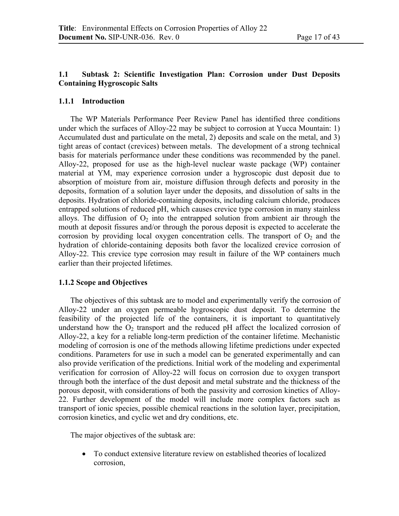### **1.1 Subtask 2: Scientific Investigation Plan: Corrosion under Dust Deposits Containing Hygroscopic Salts**

#### **1.1.1 Introduction**

The WP Materials Performance Peer Review Panel has identified three conditions under which the surfaces of Alloy-22 may be subject to corrosion at Yucca Mountain: 1) Accumulated dust and particulate on the metal, 2) deposits and scale on the metal, and 3) tight areas of contact (crevices) between metals. The development of a strong technical basis for materials performance under these conditions was recommended by the panel. Alloy-22, proposed for use as the high-level nuclear waste package (WP) container material at YM, may experience corrosion under a hygroscopic dust deposit due to absorption of moisture from air, moisture diffusion through defects and porosity in the deposits, formation of a solution layer under the deposits, and dissolution of salts in the deposits. Hydration of chloride-containing deposits, including calcium chloride, produces entrapped solutions of reduced pH, which causes crevice type corrosion in many stainless alloys. The diffusion of  $O_2$  into the entrapped solution from ambient air through the mouth at deposit fissures and/or through the porous deposit is expected to accelerate the corrosion by providing local oxygen concentration cells. The transport of  $O_2$  and the hydration of chloride-containing deposits both favor the localized crevice corrosion of Alloy-22. This crevice type corrosion may result in failure of the WP containers much earlier than their projected lifetimes.

#### **1.1.2 Scope and Objectives**

The objectives of this subtask are to model and experimentally verify the corrosion of Alloy-22 under an oxygen permeable hygroscopic dust deposit. To determine the feasibility of the projected life of the containers, it is important to quantitatively understand how the  $O_2$  transport and the reduced pH affect the localized corrosion of Alloy-22, a key for a reliable long-term prediction of the container lifetime. Mechanistic modeling of corrosion is one of the methods allowing lifetime predictions under expected conditions. Parameters for use in such a model can be generated experimentally and can also provide verification of the predictions. Initial work of the modeling and experimental verification for corrosion of Alloy-22 will focus on corrosion due to oxygen transport through both the interface of the dust deposit and metal substrate and the thickness of the porous deposit, with considerations of both the passivity and corrosion kinetics of Alloy-22. Further development of the model will include more complex factors such as transport of ionic species, possible chemical reactions in the solution layer, precipitation, corrosion kinetics, and cyclic wet and dry conditions, etc.

The major objectives of the subtask are:

• To conduct extensive literature review on established theories of localized corrosion,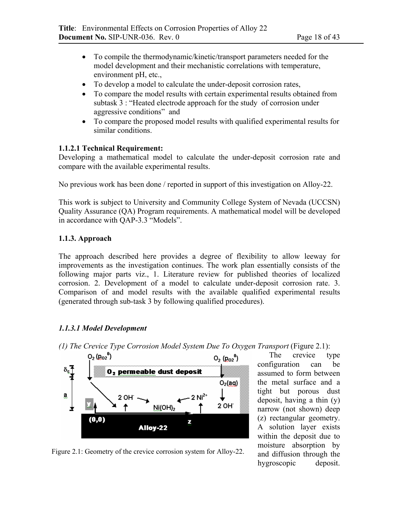- To compile the thermodynamic/kinetic/transport parameters needed for the model development and their mechanistic correlations with temperature, environment pH, etc.,
- To develop a model to calculate the under-deposit corrosion rates,
- To compare the model results with certain experimental results obtained from subtask 3 : "Heated electrode approach for the study of corrosion under aggressive conditions" and
- To compare the proposed model results with qualified experimental results for similar conditions.

### **1.1.2.1 Technical Requirement:**

Developing a mathematical model to calculate the under-deposit corrosion rate and compare with the available experimental results.

No previous work has been done / reported in support of this investigation on Alloy-22.

This work is subject to University and Community College System of Nevada (UCCSN) Quality Assurance (QA) Program requirements. A mathematical model will be developed in accordance with QAP-3.3 "Models".

# **1.1.3. Approach**

The approach described here provides a degree of flexibility to allow leeway for improvements as the investigation continues. The work plan essentially consists of the following major parts viz., 1. Literature review for published theories of localized corrosion. 2. Development of a model to calculate under-deposit corrosion rate. 3. Comparison of and model results with the available qualified experimental results (generated through sub-task 3 by following qualified procedures).

# *1.1.3.1 Model Development*

 $O_2(p_{02}^0)$ 

 $(0, 0)$ 

δ⊊ T<br>¥

ä.

士



Z

 $O_2(p_{02}^0)$ 

 $O<sub>2</sub>(aq)$ 

2 OH 1

The crevice type configuration can be assumed to form between the metal surface and a tight but porous dust deposit, having a thin (y) narrow (not shown) deep (z) rectangular geometry. A solution layer exists within the deposit due to moisture absorption by and diffusion through the hygroscopic deposit.



Alloy-22

 $2$  OH

↑

0, permeable dust deposit

Ni(OH)<sub>2</sub>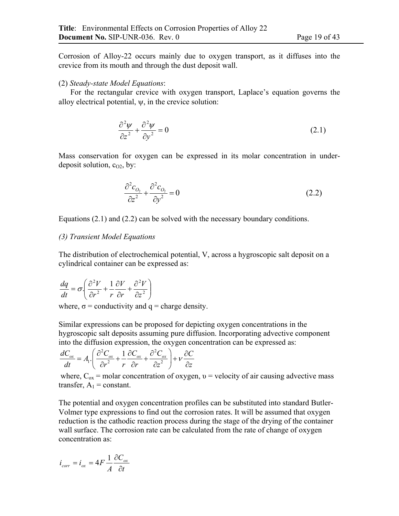Corrosion of Alloy-22 occurs mainly due to oxygen transport, as it diffuses into the crevice from its mouth and through the dust deposit wall.

#### (2) *Steady-state Model Equations*:

For the rectangular crevice with oxygen transport, Laplace's equation governs the alloy electrical potential,  $\psi$ , in the crevice solution:

$$
\frac{\partial^2 \psi}{\partial z^2} + \frac{\partial^2 \psi}{\partial y^2} = 0
$$
\n(2.1)

Mass conservation for oxygen can be expressed in its molar concentration in underdeposit solution,  $c_{02}$ , by:

$$
\frac{\partial^2 c_{O_2}}{\partial z^2} + \frac{\partial^2 c_{O_2}}{\partial y^2} = 0
$$
\n(2.2)

Equations (2.1) and (2.2) can be solved with the necessary boundary conditions.

### *(3) Transient Model Equations*

The distribution of electrochemical potential, V, across a hygroscopic salt deposit on a cylindrical container can be expressed as:

$$
\frac{dq}{dt} = \sigma \left( \frac{\partial^2 V}{\partial r^2} + \frac{1}{r} \frac{\partial V}{\partial r} + \frac{\partial^2 V}{\partial z^2} \right)
$$

where,  $\sigma$  = conductivity and  $q$  = charge density.

Similar expressions can be proposed for depicting oxygen concentrations in the hygroscopic salt deposits assuming pure diffusion. Incorporating advective component into the diffusion expression, the oxygen concentration can be expressed as:

$$
\frac{dC_{ox}}{dt} = A_1 \left( \frac{\partial^2 C_{ox}}{\partial r^2} + \frac{1}{r} \frac{\partial C_{ox}}{\partial r} + \frac{\partial^2 C_{ox}}{\partial z^2} \right) + v \frac{\partial C}{\partial z}
$$

where,  $C_{ox}$  = molar concentration of oxygen,  $v =$  velocity of air causing advective mass transfer,  $A_1$  = constant.

The potential and oxygen concentration profiles can be substituted into standard Butler-Volmer type expressions to find out the corrosion rates. It will be assumed that oxygen reduction is the cathodic reaction process during the stage of the drying of the container wall surface. The corrosion rate can be calculated from the rate of change of oxygen concentration as:

$$
i_{corr} = i_{ox} = 4F \frac{1}{A} \frac{\partial C_{ox}}{\partial t}
$$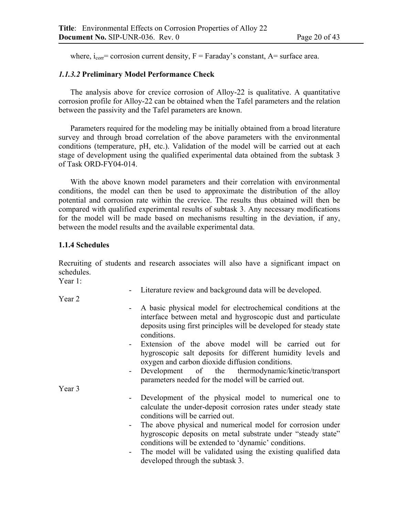where,  $i_{corr}$  = corrosion current density, F = Faraday's constant, A = surface area.

#### *1.1.3.2* **Preliminary Model Performance Check**

The analysis above for crevice corrosion of Alloy-22 is qualitative. A quantitative corrosion profile for Alloy-22 can be obtained when the Tafel parameters and the relation between the passivity and the Tafel parameters are known.

Parameters required for the modeling may be initially obtained from a broad literature survey and through broad correlation of the above parameters with the environmental conditions (temperature, pH, etc.). Validation of the model will be carried out at each stage of development using the qualified experimental data obtained from the subtask 3 of Task ORD-FY04-014.

With the above known model parameters and their correlation with environmental conditions, the model can then be used to approximate the distribution of the alloy potential and corrosion rate within the crevice. The results thus obtained will then be compared with qualified experimental results of subtask 3. Any necessary modifications for the model will be made based on mechanisms resulting in the deviation, if any, between the model results and the available experimental data.

#### **1.1.4 Schedules**

Recruiting of students and research associates will also have a significant impact on schedules.

Year 1:

- Literature review and background data will be developed.

Year 2

- A basic physical model for electrochemical conditions at the interface between metal and hygroscopic dust and particulate deposits using first principles will be developed for steady state conditions.
- Extension of the above model will be carried out for hygroscopic salt deposits for different humidity levels and oxygen and carbon dioxide diffusion conditions.
- Development of the thermodynamic/kinetic/transport parameters needed for the model will be carried out.

Year 3

- Development of the physical model to numerical one to calculate the under-deposit corrosion rates under steady state conditions will be carried out.
- The above physical and numerical model for corrosion under hygroscopic deposits on metal substrate under "steady state" conditions will be extended to 'dynamic' conditions.
- The model will be validated using the existing qualified data developed through the subtask 3.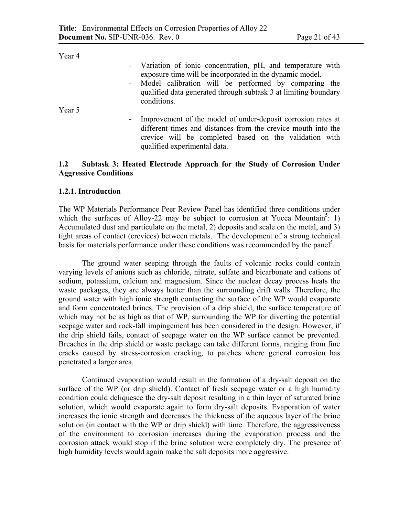| rear 4 |                                                                                                                                                                                                                           |
|--------|---------------------------------------------------------------------------------------------------------------------------------------------------------------------------------------------------------------------------|
|        | - Variation of ionic concentration, pH, and temperature with<br>exposure time will be incorporated in the dynamic model.                                                                                                  |
|        | - Model calibration will be performed by comparing the                                                                                                                                                                    |
|        | qualified data generated through subtask 3 at limiting boundary<br>conditions.                                                                                                                                            |
| Year 5 |                                                                                                                                                                                                                           |
|        | - Improvement of the model of under-deposit corrosion rates at<br>different times and distances from the crevice mouth into the<br>crevice will be completed based on the validation with<br>qualified experimental data. |

### **1.2 Subtask 3: Heated Electrode Approach for the Study of Corrosion Under Aggressive Conditions**

#### **1.2.1. Introduction**

The WP Materials Performance Peer Review Panel has identified three conditions under which the surfaces of Alloy-22 may be subject to corrosion at Yucca Mountain<sup>5</sup>: 1) Accumulated dust and particulate on the metal, 2) deposits and scale on the metal, and 3) tight areas of contact (crevices) between metals. The development of a strong technical basis for materials performance under these conditions was recommended by the panel<sup>5</sup>.

The ground water seeping through the faults of volcanic rocks could contain varying levels of anions such as chloride, nitrate, sulfate and bicarbonate and cations of sodium, potassium, calcium and magnesium. Since the nuclear decay process heats the waste packages, they are always hotter than the surrounding drift walls. Therefore, the ground water with high ionic strength contacting the surface of the WP would evaporate and form concentrated brines. The provision of a drip shield, the surface temperature of which may not be as high as that of WP, surrounding the WP for diverting the potential seepage water and rock-fall impingement has been considered in the design. However, if the drip shield fails, contact of seepage water on the WP surface cannot be prevented. Breaches in the drip shield or waste package can take different forms, ranging from fine cracks caused by stress-corrosion cracking, to patches where general corrosion has penetrated a larger area.

Continued evaporation would result in the formation of a dry-salt deposit on the surface of the WP (or drip shield). Contact of fresh seepage water or a high humidity condition could deliquesce the dry-salt deposit resulting in a thin layer of saturated brine solution, which would evaporate again to form dry-salt deposits. Evaporation of water increases the ionic strength and decreases the thickness of the aqueous layer of the brine solution (in contact with the WP or drip shield) with time. Therefore, the aggressiveness of the environment to corrosion increases during the evaporation process and the corrosion attack would stop if the brine solution were completely dry. The presence of high humidity levels would again make the salt deposits more aggressive.

 $V<sub>ear</sub>$   $\Lambda$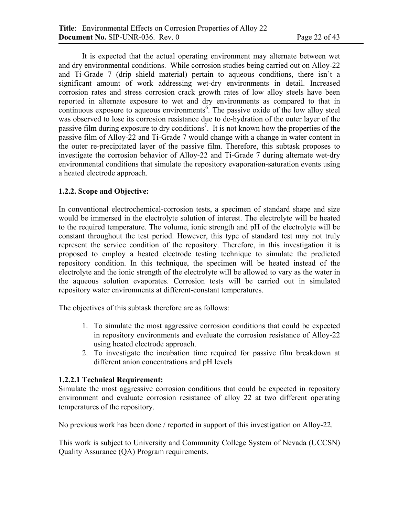It is expected that the actual operating environment may alternate between wet and dry environmental conditions. While corrosion studies being carried out on Alloy-22 and Ti-Grade 7 (drip shield material) pertain to aqueous conditions, there isn't a significant amount of work addressing wet-dry environments in detail. Increased corrosion rates and stress corrosion crack growth rates of low alloy steels have been reported in alternate exposure to wet and dry environments as compared to that in continuous exposure to aqueous environments<sup>6</sup>. The passive oxide of the low alloy steel was observed to lose its corrosion resistance due to de-hydration of the outer layer of the passive film during exposure to dry conditions<sup>7</sup>. It is not known how the properties of the passive film of Alloy-22 and Ti-Grade 7 would change with a change in water content in the outer re-precipitated layer of the passive film. Therefore, this subtask proposes to investigate the corrosion behavior of Alloy-22 and Ti-Grade 7 during alternate wet-dry environmental conditions that simulate the repository evaporation-saturation events using a heated electrode approach.

### **1.2.2. Scope and Objective:**

In conventional electrochemical-corrosion tests, a specimen of standard shape and size would be immersed in the electrolyte solution of interest. The electrolyte will be heated to the required temperature. The volume, ionic strength and pH of the electrolyte will be constant throughout the test period. However, this type of standard test may not truly represent the service condition of the repository. Therefore, in this investigation it is proposed to employ a heated electrode testing technique to simulate the predicted repository condition. In this technique, the specimen will be heated instead of the electrolyte and the ionic strength of the electrolyte will be allowed to vary as the water in the aqueous solution evaporates. Corrosion tests will be carried out in simulated repository water environments at different-constant temperatures.

The objectives of this subtask therefore are as follows:

- 1. To simulate the most aggressive corrosion conditions that could be expected in repository environments and evaluate the corrosion resistance of Alloy-22 using heated electrode approach.
- 2. To investigate the incubation time required for passive film breakdown at different anion concentrations and pH levels

### **1.2.2.1 Technical Requirement:**

Simulate the most aggressive corrosion conditions that could be expected in repository environment and evaluate corrosion resistance of alloy 22 at two different operating temperatures of the repository.

No previous work has been done / reported in support of this investigation on Alloy-22.

This work is subject to University and Community College System of Nevada (UCCSN) Quality Assurance (QA) Program requirements.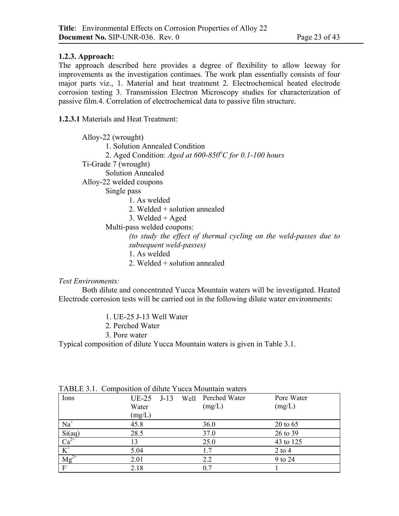### **1.2.3. Approach:**

The approach described here provides a degree of flexibility to allow leeway for improvements as the investigation continues. The work plan essentially consists of four major parts viz., 1. Material and heat treatment 2. Electrochemical heated electrode corrosion testing 3. Transmission Electron Microscopy studies for characterization of passive film.4. Correlation of electrochemical data to passive film structure.

**1.2.3.1** Materials and Heat Treatment:

| Alloy-22 (wrought)                                                                                           |
|--------------------------------------------------------------------------------------------------------------|
| 1. Solution Annealed Condition                                                                               |
| 2. Aged Condition: Aged at $600-850^{\circ}$ C for 0.1-100 hours                                             |
| Ti-Grade 7 (wrought)                                                                                         |
| Solution Annealed                                                                                            |
| Alloy-22 welded coupons                                                                                      |
| Single pass                                                                                                  |
| 1 As welded                                                                                                  |
| 2. Welded $+$ solution annealed                                                                              |
| 3. Welded $+$ Aged                                                                                           |
| Multi-pass welded coupons:                                                                                   |
| (to study the effect of thermal cycling on the weld-passes due to<br>subsequent weld-passes)<br>1. As welded |

2. Welded + solution annealed

#### *Test Environments:*

Both dilute and concentrated Yucca Mountain waters will be investigated. Heated Electrode corrosion tests will be carried out in the following dilute water environments:

- 1. UE-25 J-13 Well Water
- 2. Perched Water
- 3. Pore water

Typical composition of dilute Yucca Mountain waters is given in Table 3.1.

| Ions                                   | $UE-25$<br>Water<br>(mg/L) | $J-13$ | Well | Perched Water<br>(mg/L) | Pore Water<br>(mg/L) |
|----------------------------------------|----------------------------|--------|------|-------------------------|----------------------|
|                                        |                            |        |      |                         |                      |
| $\overline{Na}^+$                      | 45.8                       |        |      | 36.0                    | $20 \text{ to } 65$  |
| $\frac{\text{Si(aq)}}{\text{Ca}^{2+}}$ | 28.5                       |        |      | 37.0                    | 26 to 39             |
|                                        | 13                         |        |      | 25.0                    | 43 to 125            |
| $\overline{K}^+$                       | 5.04                       |        |      | 1.7                     | $2$ to $4$           |
| $\overline{\text{Mg}}^{2+}$            | 2.01                       |        |      | 2.2                     | 9 to 24              |
| F                                      | 2.18                       |        |      | 0.7                     |                      |

TABLE 3.1. Composition of dilute Yucca Mountain waters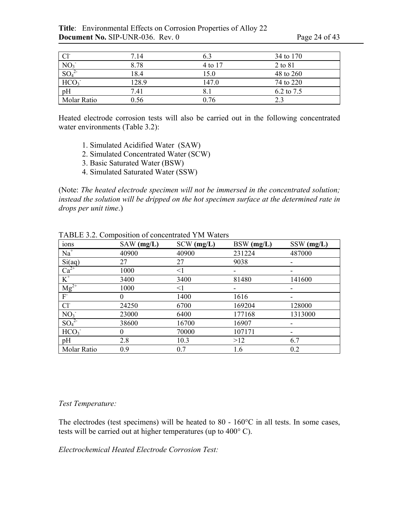**Title**: Environmental Effects on Corrosion Properties of Alloy 22 **Document No.** SIP-UNR-036. Rev. 0 Page 24 of 43

| Cl <sup>2</sup>  | 7.14  |         | 34 to 170  |
|------------------|-------|---------|------------|
| NO <sub>3</sub>  | 8.78  | 4 to 17 | 2 to 81    |
| SO <sub>4</sub>  | 18.4  | 15.0    | 48 to 260  |
| HCO <sub>3</sub> | 128.9 | 147.0   | 74 to 220  |
| $\overline{pH}$  | 7.41  |         | 6.2 to 7.5 |
| Molar Ratio      | ).56  | 0.76    | 2.3        |

Heated electrode corrosion tests will also be carried out in the following concentrated water environments (Table 3.2):

- 1. Simulated Acidified Water (SAW)
- 2. Simulated Concentrated Water (SCW)
- 3. Basic Saturated Water (BSW)
- 4. Simulated Saturated Water (SSW)

(Note: *The heated electrode specimen will not be immersed in the concentrated solution; instead the solution will be dripped on the hot specimen surface at the determined rate in drops per unit time*.)

| ions                         | $SAW$ (mg/L) | $SCW$ (mg/L) | BSW (mg/L) | SSW (mg/L) |
|------------------------------|--------------|--------------|------------|------------|
| $Na+$                        | 40900        | 40900        | 231224     | 487000     |
| Si(aq)                       | 27           | 27           | 9038       |            |
| $\overline{Ca^{2+}}$         | 1000         | $<$ 1        |            |            |
| $K^+$                        | 3400         | 3400         | 81480      | 141600     |
| $Mg^{2+}$                    | 1000         | $<$ 1        | -          |            |
| F                            | $\Omega$     | 1400         | 1616       | ۰          |
| Cl <sup>2</sup>              | 24250        | 6700         | 169204     | 128000     |
| NO <sub>3</sub>              | 23000        | 6400         | 177168     | 1313000    |
| SO <sub>4</sub> <sup>2</sup> | 38600        | 16700        | 16907      |            |
| HCO <sub>3</sub>             | $\Omega$     | 70000        | 107171     |            |
| pH                           | 2.8          | 10.3         | >12        | 6.7        |
| Molar Ratio                  | 0.9          | 0.7          | 1.6        | 0.2        |

TABLE 3.2. Composition of concentrated YM Waters

#### *Test Temperature:*

The electrodes (test specimens) will be heated to 80 -  $160^{\circ}$ C in all tests. In some cases, tests will be carried out at higher temperatures (up to 400° C).

*Electrochemical Heated Electrode Corrosion Test:*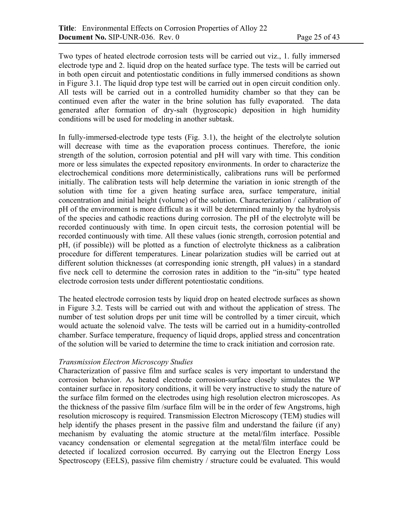Two types of heated electrode corrosion tests will be carried out viz., 1. fully immersed electrode type and 2. liquid drop on the heated surface type. The tests will be carried out in both open circuit and potentiostatic conditions in fully immersed conditions as shown in Figure 3.1. The liquid drop type test will be carried out in open circuit condition only. All tests will be carried out in a controlled humidity chamber so that they can be continued even after the water in the brine solution has fully evaporated. The data generated after formation of dry-salt (hygroscopic) deposition in high humidity conditions will be used for modeling in another subtask.

In fully-immersed-electrode type tests (Fig. 3.1), the height of the electrolyte solution will decrease with time as the evaporation process continues. Therefore, the ionic strength of the solution, corrosion potential and pH will vary with time. This condition more or less simulates the expected repository environments. In order to characterize the electrochemical conditions more deterministically, calibrations runs will be performed initially. The calibration tests will help determine the variation in ionic strength of the solution with time for a given heating surface area, surface temperature, initial concentration and initial height (volume) of the solution. Characterization / calibration of pH of the environment is more difficult as it will be determined mainly by the hydrolysis of the species and cathodic reactions during corrosion. The pH of the electrolyte will be recorded continuously with time. In open circuit tests, the corrosion potential will be recorded continuously with time. All these values (ionic strength, corrosion potential and pH, (if possible)) will be plotted as a function of electrolyte thickness as a calibration procedure for different temperatures. Linear polarization studies will be carried out at different solution thicknesses (at corresponding ionic strength, pH values) in a standard five neck cell to determine the corrosion rates in addition to the "in-situ" type heated electrode corrosion tests under different potentiostatic conditions.

The heated electrode corrosion tests by liquid drop on heated electrode surfaces as shown in Figure 3.2. Tests will be carried out with and without the application of stress. The number of test solution drops per unit time will be controlled by a timer circuit, which would actuate the solenoid valve. The tests will be carried out in a humidity-controlled chamber. Surface temperature, frequency of liquid drops, applied stress and concentration of the solution will be varied to determine the time to crack initiation and corrosion rate.

#### *Transmission Electron Microscopy Studies*

Characterization of passive film and surface scales is very important to understand the corrosion behavior. As heated electrode corrosion-surface closely simulates the WP container surface in repository conditions, it will be very instructive to study the nature of the surface film formed on the electrodes using high resolution electron microscopes. As the thickness of the passive film /surface film will be in the order of few Angstroms, high resolution microscopy is required. Transmission Electron Microscopy (TEM) studies will help identify the phases present in the passive film and understand the failure (if any) mechanism by evaluating the atomic structure at the metal/film interface. Possible vacancy condensation or elemental segregation at the metal/film interface could be detected if localized corrosion occurred. By carrying out the Electron Energy Loss Spectroscopy (EELS), passive film chemistry / structure could be evaluated. This would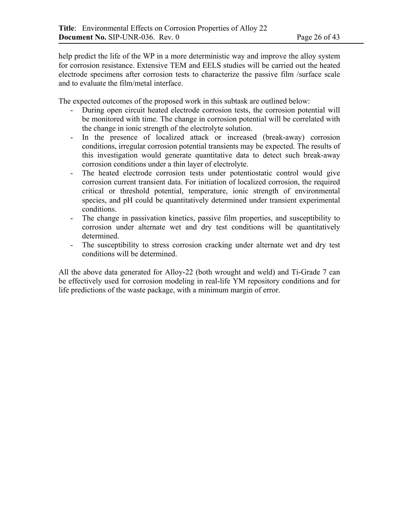help predict the life of the WP in a more deterministic way and improve the alloy system for corrosion resistance. Extensive TEM and EELS studies will be carried out the heated electrode specimens after corrosion tests to characterize the passive film /surface scale and to evaluate the film/metal interface.

The expected outcomes of the proposed work in this subtask are outlined below:

- During open circuit heated electrode corrosion tests, the corrosion potential will be monitored with time. The change in corrosion potential will be correlated with the change in ionic strength of the electrolyte solution.
- In the presence of localized attack or increased (break-away) corrosion conditions, irregular corrosion potential transients may be expected. The results of this investigation would generate quantitative data to detect such break-away corrosion conditions under a thin layer of electrolyte.
- The heated electrode corrosion tests under potentiostatic control would give corrosion current transient data. For initiation of localized corrosion, the required critical or threshold potential, temperature, ionic strength of environmental species, and pH could be quantitatively determined under transient experimental conditions.
- The change in passivation kinetics, passive film properties, and susceptibility to corrosion under alternate wet and dry test conditions will be quantitatively determined.
- The susceptibility to stress corrosion cracking under alternate wet and dry test conditions will be determined.

All the above data generated for Alloy-22 (both wrought and weld) and Ti-Grade 7 can be effectively used for corrosion modeling in real-life YM repository conditions and for life predictions of the waste package, with a minimum margin of error.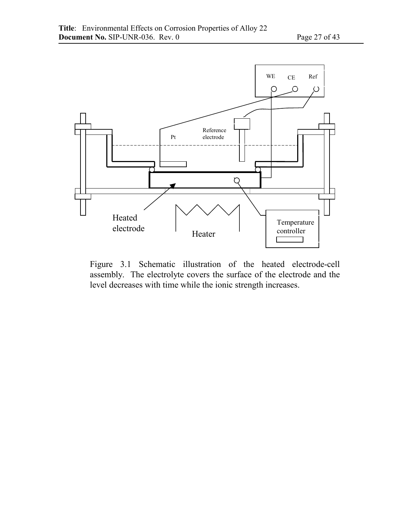

Figure 3.1 Schematic illustration of the heated electrode-cell assembly. The electrolyte covers the surface of the electrode and the level decreases with time while the ionic strength increases.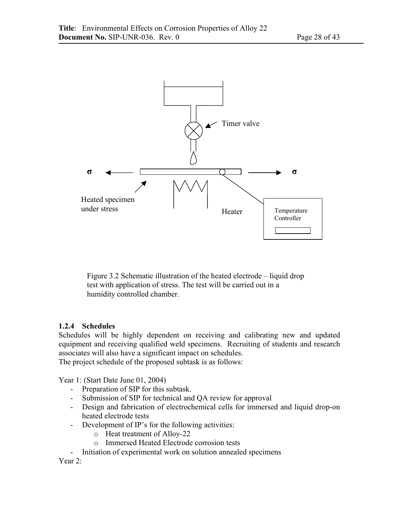

Figure 3.2 Schematic illustration of the heated electrode – liquid drop test with application of stress. The test will be carried out in a humidity controlled chamber.

### **1.2.4 Schedules**

Schedules will be highly dependent on receiving and calibrating new and updated equipment and receiving qualified weld specimens. Recruiting of students and research associates will also have a significant impact on schedules.

The project schedule of the proposed subtask is as follows:

Year 1: (Start Date June 01, 2004)

- Preparation of SIP for this subtask.
- Submission of SIP for technical and QA review for approval
- Design and fabrication of electrochemical cells for immersed and liquid drop-on heated electrode tests
- Development of IP's for the following activities:
	- o Heat treatment of Alloy-22
	- o Immersed Heated Electrode corrosion tests
- Initiation of experimental work on solution annealed specimens

Year 2: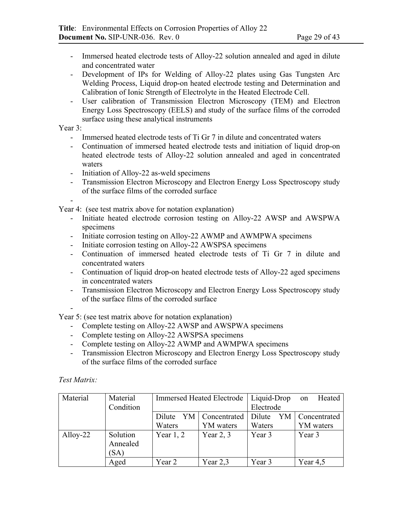- Immersed heated electrode tests of Alloy-22 solution annealed and aged in dilute and concentrated water
- Development of IPs for Welding of Alloy-22 plates using Gas Tungsten Arc Welding Process, Liquid drop-on heated electrode testing and Determination and Calibration of Ionic Strength of Electrolyte in the Heated Electrode Cell.
- User calibration of Transmission Electron Microscopy (TEM) and Electron Energy Loss Spectroscopy (EELS) and study of the surface films of the corroded surface using these analytical instruments

Year 3:

-

- Immersed heated electrode tests of Ti Gr 7 in dilute and concentrated waters
- Continuation of immersed heated electrode tests and initiation of liquid drop-on heated electrode tests of Alloy-22 solution annealed and aged in concentrated waters
- Initiation of Alloy-22 as-weld specimens
- Transmission Electron Microscopy and Electron Energy Loss Spectroscopy study of the surface films of the corroded surface

Year 4: (see test matrix above for notation explanation)

- Initiate heated electrode corrosion testing on Alloy-22 AWSP and AWSPWA specimens
- Initiate corrosion testing on Alloy-22 AWMP and AWMPWA specimens
- Initiate corrosion testing on Alloy-22 AWSPSA specimens
- Continuation of immersed heated electrode tests of Ti Gr 7 in dilute and concentrated waters
- Continuation of liquid drop-on heated electrode tests of Alloy-22 aged specimens in concentrated waters
- Transmission Electron Microscopy and Electron Energy Loss Spectroscopy study of the surface films of the corroded surface

-

Year 5: (see test matrix above for notation explanation)

- Complete testing on Alloy-22 AWSP and AWSPWA specimens
- Complete testing on Alloy-22 AWSPSA specimens
- Complete testing on Alloy-22 AWMP and AWMPWA specimens
- Transmission Electron Microscopy and Electron Energy Loss Spectroscopy study of the surface films of the corroded surface

*Test Matrix:* 

| Material | Material  | <b>Immersed Heated Electrode</b> |              | Liquid-Drop  | Heated<br>on |
|----------|-----------|----------------------------------|--------------|--------------|--------------|
|          | Condition |                                  |              | Electrode    |              |
|          |           | Dilute<br>YM                     | Concentrated | Dilute<br>YM | Concentrated |
|          |           | Waters                           | YM waters    | Waters       | YM waters    |
| Alloy-22 | Solution  | Year $1, 2$                      | Year $2, 3$  | Year 3       | Year 3       |
|          | Annealed  |                                  |              |              |              |
|          | (SA)      |                                  |              |              |              |
|          | Aged      | Year 2                           | Year $2,3$   | Year 3       | Year $4,5$   |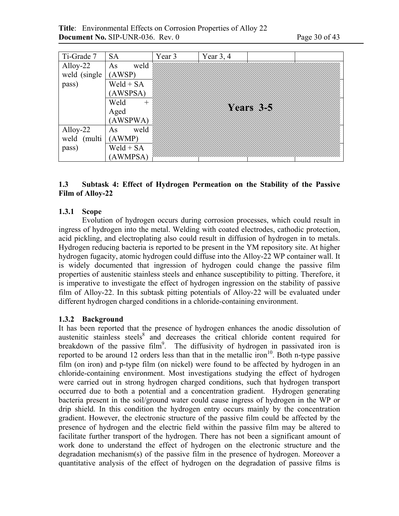**Title**: Environmental Effects on Corrosion Properties of Alloy 22 **Document No.** SIP-UNR-036. Rev. 0 Page 30 of 43

| Ti-Grade 7    | <b>SA</b>   | Year 3 | Year $3, 4$ |          |  |
|---------------|-------------|--------|-------------|----------|--|
| Alloy-22      | weld<br>As  |        |             |          |  |
| weld (single) | (AWSP)      |        |             |          |  |
| pass)         | $Weld + SA$ |        |             |          |  |
|               | (AWSPSA)    |        |             |          |  |
|               | Weld<br>$+$ |        |             |          |  |
|               | Aged        |        |             | Xears 25 |  |
|               | (AWSPWA)    |        |             |          |  |
| Alloy-22      | weld<br>As  |        |             |          |  |
| weld (multi   | (AWMP)      |        |             |          |  |
| pass)         | $Weld + SA$ |        |             |          |  |
|               | (AWMPSA)    |        |             |          |  |

### **1.3 Subtask 4: Effect of Hydrogen Permeation on the Stability of the Passive Film of Alloy-22**

### **1.3.1 Scope**

Evolution of hydrogen occurs during corrosion processes, which could result in ingress of hydrogen into the metal. Welding with coated electrodes, cathodic protection, acid pickling, and electroplating also could result in diffusion of hydrogen in to metals. Hydrogen reducing bacteria is reported to be present in the YM repository site. At higher hydrogen fugacity, atomic hydrogen could diffuse into the Alloy-22 WP container wall. It is widely documented that ingression of hydrogen could change the passive film properties of austenitic stainless steels and enhance susceptibility to pitting. Therefore, it is imperative to investigate the effect of hydrogen ingression on the stability of passive film of Alloy-22. In this subtask pitting potentials of Alloy-22 will be evaluated under different hydrogen charged conditions in a chloride-containing environment.

### **1.3.2 Background**

It has been reported that the presence of hydrogen enhances the anodic dissolution of austenitic stainless steels<sup>8</sup> and decreases the critical chloride content required for breakdown of the passive film<sup>9</sup>. The diffusivity of hydrogen in passivated iron is reported to be around 12 orders less than that in the metallic iron<sup>10</sup>. Both n-type passive film (on iron) and p-type film (on nickel) were found to be affected by hydrogen in an chloride-containing environment. Most investigations studying the effect of hydrogen were carried out in strong hydrogen charged conditions, such that hydrogen transport occurred due to both a potential and a concentration gradient. Hydrogen generating bacteria present in the soil/ground water could cause ingress of hydrogen in the WP or drip shield. In this condition the hydrogen entry occurs mainly by the concentration gradient. However, the electronic structure of the passive film could be affected by the presence of hydrogen and the electric field within the passive film may be altered to facilitate further transport of the hydrogen. There has not been a significant amount of work done to understand the effect of hydrogen on the electronic structure and the degradation mechanism(s) of the passive film in the presence of hydrogen. Moreover a quantitative analysis of the effect of hydrogen on the degradation of passive films is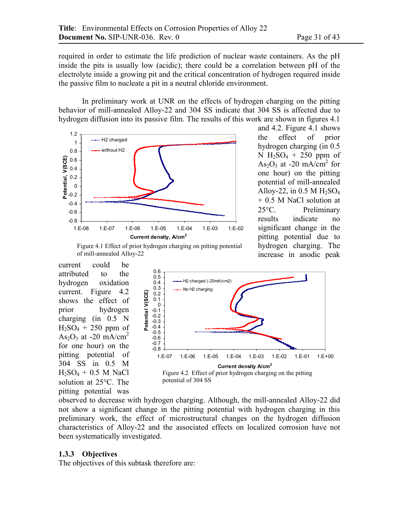required in order to estimate the life prediction of nuclear waste containers. As the pH inside the pits is usually low (acidic); there could be a correlation between pH of the electrolyte inside a growing pit and the critical concentration of hydrogen required inside the passive film to nucleate a pit in a neutral chloride environment.

In preliminary work at UNR on the effects of hydrogen charging on the pitting behavior of mill-annealed Alloy-22 and 304 SS indicate that 304 SS is affected due to hydrogen diffusion into its passive film. The results of this work are shown in figures 4.1



and 4.2. Figure 4.1 shows the effect of prior hydrogen charging (in 0.5 N  $H_2SO_4 + 250$  ppm of  $As<sub>2</sub>O<sub>3</sub>$  at -20 mA/cm<sup>2</sup> for one hour) on the pitting potential of mill-annealed Alloy-22, in  $0.5$  M  $H<sub>2</sub>SO<sub>4</sub>$ + 0.5 M NaCl solution at 25°C. Preliminary results indicate no significant change in the pitting potential due to hydrogen charging. The increase in anodic peak



current could be attributed to the hydrogen oxidation current. Figure 4.2 shows the effect of prior hydrogen charging (in 0.5 N  $H_2SO_4 + 250$  ppm of As<sub>2</sub>O<sub>3</sub> at -20 mA/cm<sup>2</sup> for one hour) on the pitting potential of 304 SS in 0.5 M  $H_2SO_4 + 0.5 M$  NaCl solution at 25°C. The pitting potential was



observed to decrease with hydrogen charging. Although, the mill-annealed Alloy-22 did not show a significant change in the pitting potential with hydrogen charging in this preliminary work, the effect of microstructural changes on the hydrogen diffusion characteristics of Alloy-22 and the associated effects on localized corrosion have not been systematically investigated.

#### **1.3.3 Objectives**

The objectives of this subtask therefore are: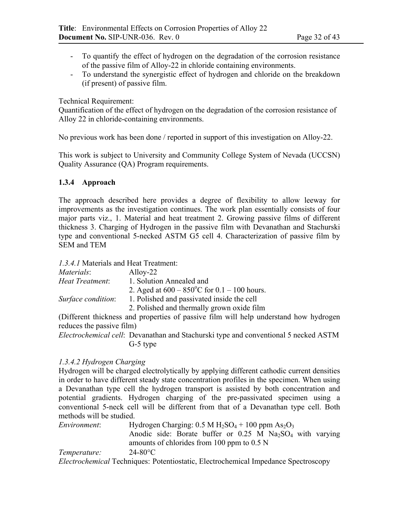- To quantify the effect of hydrogen on the degradation of the corrosion resistance of the passive film of Alloy-22 in chloride containing environments.
- To understand the synergistic effect of hydrogen and chloride on the breakdown (if present) of passive film.

Technical Requirement:

Quantification of the effect of hydrogen on the degradation of the corrosion resistance of Alloy 22 in chloride-containing environments.

No previous work has been done / reported in support of this investigation on Alloy-22.

This work is subject to University and Community College System of Nevada (UCCSN) Quality Assurance (QA) Program requirements.

### **1.3.4 Approach**

The approach described here provides a degree of flexibility to allow leeway for improvements as the investigation continues. The work plan essentially consists of four major parts viz., 1. Material and heat treatment 2. Growing passive films of different thickness 3. Charging of Hydrogen in the passive film with Devanathan and Stachurski type and conventional 5-necked ASTM G5 cell 4. Characterization of passive film by SEM and TEM

*1.3.4.1* Materials and Heat Treatment:

| <i>Materials:</i>  | Alloy-22                                                |
|--------------------|---------------------------------------------------------|
| Heat Treatment:    | 1. Solution Annealed and                                |
|                    | 2. Aged at $600 - 850^{\circ}$ C for $0.1 - 100$ hours. |
| Surface condition: | 1. Polished and passivated inside the cell              |
|                    | 2. Polished and thermally grown oxide film              |

(Different thickness and properties of passive film will help understand how hydrogen reduces the passive film)

*Electrochemical cell*: Devanathan and Stachurski type and conventional 5 necked ASTM G-5 type

### *1.3.4.2 Hydrogen Charging*

Hydrogen will be charged electrolytically by applying different cathodic current densities in order to have different steady state concentration profiles in the specimen. When using a Devanathan type cell the hydrogen transport is assisted by both concentration and potential gradients. Hydrogen charging of the pre-passivated specimen using a conventional 5-neck cell will be different from that of a Devanathan type cell. Both methods will be studied.

*Environment*: Hydrogen Charging:  $0.5 M H_2SO_4 + 100$  ppm  $As_2O_3$ Anodic side: Borate buffer or  $0.25$  M Na<sub>2</sub>SO<sub>4</sub> with varying amounts of chlorides from 100 ppm to 0.5 N *Temperature:* 24-80°C *Electrochemical* Techniques: Potentiostatic, Electrochemical Impedance Spectroscopy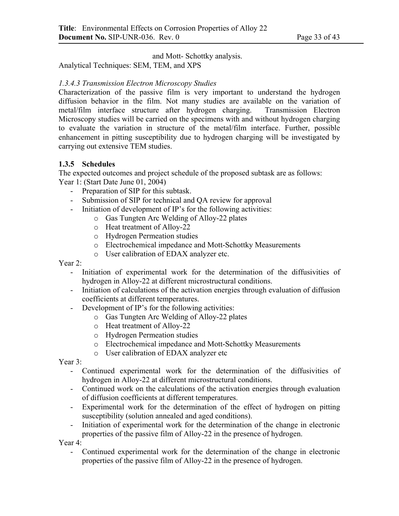and Mott- Schottky analysis.

Analytical Techniques: SEM, TEM, and XPS

# *1.3.4.3 Transmission Electron Microscopy Studies*

Characterization of the passive film is very important to understand the hydrogen diffusion behavior in the film. Not many studies are available on the variation of metal/film interface structure after hydrogen charging. Transmission Electron Microscopy studies will be carried on the specimens with and without hydrogen charging to evaluate the variation in structure of the metal/film interface. Further, possible enhancement in pitting susceptibility due to hydrogen charging will be investigated by carrying out extensive TEM studies.

### **1.3.5 Schedules**

The expected outcomes and project schedule of the proposed subtask are as follows: Year 1: (Start Date June 01, 2004)

- Preparation of SIP for this subtask.
- Submission of SIP for technical and QA review for approval
- Initiation of development of IP's for the following activities:
	- o Gas Tungten Arc Welding of Alloy-22 plates
	- o Heat treatment of Alloy-22
	- o Hydrogen Permeation studies
	- o Electrochemical impedance and Mott-Schottky Measurements
	- o User calibration of EDAX analyzer etc.

Year 2:

- Initiation of experimental work for the determination of the diffusivities of hydrogen in Alloy-22 at different microstructural conditions.
- Initiation of calculations of the activation energies through evaluation of diffusion coefficients at different temperatures.
- Development of IP's for the following activities:
	- o Gas Tungten Arc Welding of Alloy-22 plates
	- o Heat treatment of Alloy-22
	- o Hydrogen Permeation studies
	- o Electrochemical impedance and Mott-Schottky Measurements
	- o User calibration of EDAX analyzer etc

Year 3:

- Continued experimental work for the determination of the diffusivities of hydrogen in Alloy-22 at different microstructural conditions.
- Continued work on the calculations of the activation energies through evaluation of diffusion coefficients at different temperatures.
- Experimental work for the determination of the effect of hydrogen on pitting susceptibility (solution annealed and aged conditions).
- Initiation of experimental work for the determination of the change in electronic properties of the passive film of Alloy-22 in the presence of hydrogen.

Year 4:

- Continued experimental work for the determination of the change in electronic properties of the passive film of Alloy-22 in the presence of hydrogen.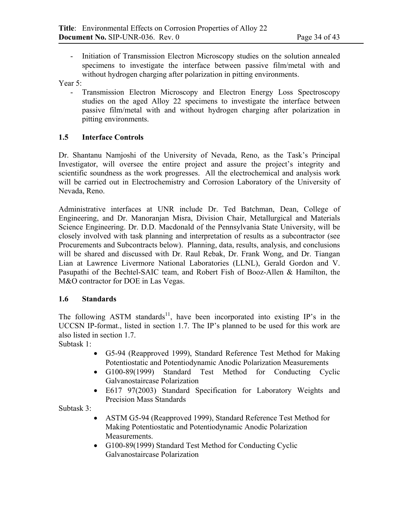- Initiation of Transmission Electron Microscopy studies on the solution annealed specimens to investigate the interface between passive film/metal with and without hydrogen charging after polarization in pitting environments.

Year 5:

- Transmission Electron Microscopy and Electron Energy Loss Spectroscopy studies on the aged Alloy 22 specimens to investigate the interface between passive film/metal with and without hydrogen charging after polarization in pitting environments.

### **1.5 Interface Controls**

Dr. Shantanu Namjoshi of the University of Nevada, Reno, as the Task's Principal Investigator, will oversee the entire project and assure the project's integrity and scientific soundness as the work progresses. All the electrochemical and analysis work will be carried out in Electrochemistry and Corrosion Laboratory of the University of Nevada, Reno.

Administrative interfaces at UNR include Dr. Ted Batchman, Dean, College of Engineering, and Dr. Manoranjan Misra, Division Chair, Metallurgical and Materials Science Engineering. Dr. D.D. Macdonald of the Pennsylvania State University, will be closely involved with task planning and interpretation of results as a subcontractor (see Procurements and Subcontracts below). Planning, data, results, analysis, and conclusions will be shared and discussed with Dr. Raul Rebak, Dr. Frank Wong, and Dr. Tiangan Lian at Lawrence Livermore National Laboratories (LLNL), Gerald Gordon and V. Pasupathi of the Bechtel-SAIC team, and Robert Fish of Booz-Allen & Hamilton, the M&O contractor for DOE in Las Vegas.

### **1.6 Standards**

The following ASTM standards<sup>11</sup>, have been incorporated into existing IP's in the UCCSN IP-format., listed in section 1.7. The IP's planned to be used for this work are also listed in section 1.7.

Subtask 1:

- G5-94 (Reapproved 1999), Standard Reference Test Method for Making Potentiostatic and Potentiodynamic Anodic Polarization Measurements
- G100-89(1999) Standard Test Method for Conducting Cyclic Galvanostaircase Polarization
- E617 97(2003) Standard Specification for Laboratory Weights and Precision Mass Standards

Subtask 3:

- ASTM G5-94 (Reapproved 1999), Standard Reference Test Method for Making Potentiostatic and Potentiodynamic Anodic Polarization Measurements.
- G100-89(1999) Standard Test Method for Conducting Cyclic Galvanostaircase Polarization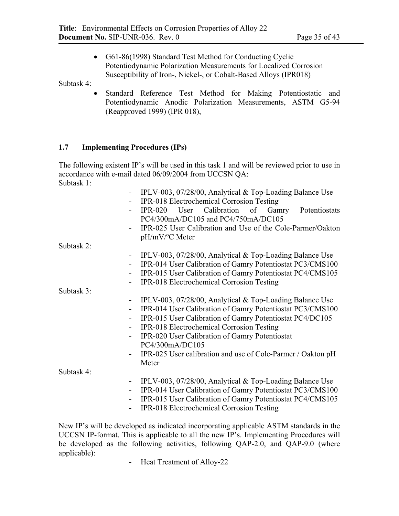• G61-86(1998) Standard Test Method for Conducting Cyclic Potentiodynamic Polarization Measurements for Localized Corrosion Susceptibility of Iron-, Nickel-, or Cobalt-Based Alloys (IPR018)

Subtask 4:

• Standard Reference Test Method for Making Potentiostatic and Potentiodynamic Anodic Polarization Measurements, ASTM G5-94 (Reapproved 1999) (IPR 018),

# **1.7 Implementing Procedures (IPs)**

The following existent IP's will be used in this task 1 and will be reviewed prior to use in accordance with e-mail dated 06/09/2004 from UCCSN QA: Subtask 1:

|                              | IPLV-003, 07/28/00, Analytical & Top-Loading Balance Use    |
|------------------------------|-------------------------------------------------------------|
|                              | IPR-018 Electrochemical Corrosion Testing                   |
|                              | IPR-020 User Calibration of Gamry Potentiostats             |
|                              | PC4/300mA/DC105 and PC4/750mA/DC105                         |
|                              | IPR-025 User Calibration and Use of the Cole-Parmer/Oakton  |
|                              | pH/mV/°C Meter                                              |
| Subtask 2:                   |                                                             |
|                              | IPLV-003, 07/28/00, Analytical $&$ Top-Loading Balance Use  |
|                              | IPR-014 User Calibration of Gamry Potentiostat PC3/CMS100   |
| $\overline{\phantom{0}}$     | IPR-015 User Calibration of Gamry Potentiostat PC4/CMS105   |
|                              | <b>IPR-018</b> Electrochemical Corrosion Testing            |
| Subtask 3:                   |                                                             |
| $\qquad \qquad \blacksquare$ | IPLV-003, 07/28/00, Analytical & Top-Loading Balance Use    |
|                              | IPR-014 User Calibration of Gamry Potentiostat PC3/CMS100   |
|                              | IPR-015 User Calibration of Gamry Potentiostat PC4/DC105    |
| $\overline{\phantom{a}}$     | IPR-018 Electrochemical Corrosion Testing                   |
|                              | IPR-020 User Calibration of Gamry Potentiostat              |
|                              | PC4/300mA/DC105                                             |
|                              | IPR-025 User calibration and use of Cole-Parmer / Oakton pH |
|                              | Meter                                                       |
| Subtask 4:                   |                                                             |
| $\blacksquare$               | IPLV-003, 07/28/00, Analytical & Top-Loading Balance Use    |
|                              | IPR-014 User Calibration of Gamry Potentiostat PC3/CMS100   |
| $\qquad \qquad \blacksquare$ | IPR-015 User Calibration of Gamry Potentiostat PC4/CMS105   |
|                              | IPR-018 Electrochemical Corrosion Testing                   |

New IP's will be developed as indicated incorporating applicable ASTM standards in the UCCSN IP-format. This is applicable to all the new IP's. Implementing Procedures will be developed as the following activities, following QAP-2.0, and QAP-9.0 (where applicable):

- Heat Treatment of Alloy-22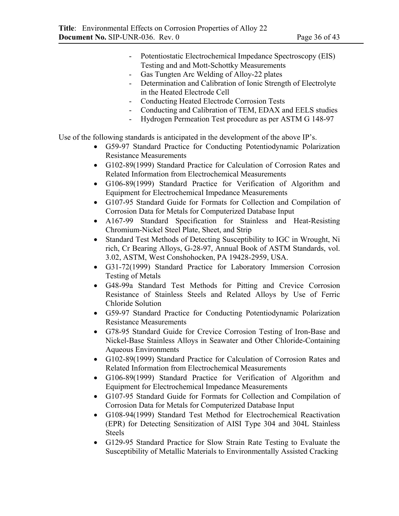- Potentiostatic Electrochemical Impedance Spectroscopy (EIS) Testing and and Mott-Schottky Measurements
- Gas Tungten Arc Welding of Alloy-22 plates
- Determination and Calibration of Ionic Strength of Electrolyte in the Heated Electrode Cell
- Conducting Heated Electrode Corrosion Tests
- Conducting and Calibration of TEM, EDAX and EELS studies
- Hydrogen Permeation Test procedure as per ASTM G 148-97

Use of the following standards is anticipated in the development of the above IP's.

- G59-97 Standard Practice for Conducting Potentiodynamic Polarization Resistance Measurements
- G102-89(1999) Standard Practice for Calculation of Corrosion Rates and Related Information from Electrochemical Measurements
- G106-89(1999) Standard Practice for Verification of Algorithm and Equipment for Electrochemical Impedance Measurements
- G107-95 Standard Guide for Formats for Collection and Compilation of Corrosion Data for Metals for Computerized Database Input
- A167-99 Standard Specification for Stainless and Heat-Resisting Chromium-Nickel Steel Plate, Sheet, and Strip
- Standard Test Methods of Detecting Susceptibility to IGC in Wrought, Ni rich, Cr Bearing Alloys, G-28-97, Annual Book of ASTM Standards, vol. 3.02, ASTM, West Conshohocken, PA 19428-2959, USA.
- G31-72(1999) Standard Practice for Laboratory Immersion Corrosion Testing of Metals
- G48-99a Standard Test Methods for Pitting and Crevice Corrosion Resistance of Stainless Steels and Related Alloys by Use of Ferric Chloride Solution
- G59-97 Standard Practice for Conducting Potentiodynamic Polarization Resistance Measurements
- G78-95 Standard Guide for Crevice Corrosion Testing of Iron-Base and Nickel-Base Stainless Alloys in Seawater and Other Chloride-Containing Aqueous Environments
- G102-89(1999) Standard Practice for Calculation of Corrosion Rates and Related Information from Electrochemical Measurements
- G106-89(1999) Standard Practice for Verification of Algorithm and Equipment for Electrochemical Impedance Measurements
- G107-95 Standard Guide for Formats for Collection and Compilation of Corrosion Data for Metals for Computerized Database Input
- G108-94(1999) Standard Test Method for Electrochemical Reactivation (EPR) for Detecting Sensitization of AISI Type 304 and 304L Stainless Steels
- G129-95 Standard Practice for Slow Strain Rate Testing to Evaluate the Susceptibility of Metallic Materials to Environmentally Assisted Cracking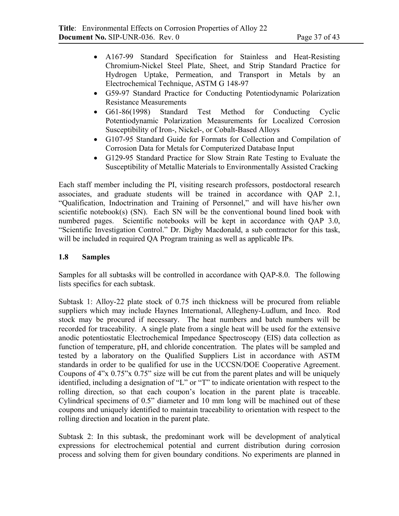- A167-99 Standard Specification for Stainless and Heat-Resisting Chromium-Nickel Steel Plate, Sheet, and Strip Standard Practice for Hydrogen Uptake, Permeation, and Transport in Metals by an Electrochemical Technique, ASTM G 148-97
- G59-97 Standard Practice for Conducting Potentiodynamic Polarization Resistance Measurements
- G61-86(1998) Standard Test Method for Conducting Cyclic Potentiodynamic Polarization Measurements for Localized Corrosion Susceptibility of Iron-, Nickel-, or Cobalt-Based Alloys
- G107-95 Standard Guide for Formats for Collection and Compilation of Corrosion Data for Metals for Computerized Database Input
- G129-95 Standard Practice for Slow Strain Rate Testing to Evaluate the Susceptibility of Metallic Materials to Environmentally Assisted Cracking

Each staff member including the PI, visiting research professors, postdoctoral research associates, and graduate students will be trained in accordance with QAP 2.1, "Qualification, Indoctrination and Training of Personnel," and will have his/her own scientific notebook(s) (SN). Each SN will be the conventional bound lined book with numbered pages. Scientific notebooks will be kept in accordance with QAP 3.0, "Scientific Investigation Control." Dr. Digby Macdonald, a sub contractor for this task, will be included in required QA Program training as well as applicable IPs.

# **1.8 Samples**

Samples for all subtasks will be controlled in accordance with QAP-8.0. The following lists specifics for each subtask.

Subtask 1: Alloy-22 plate stock of 0.75 inch thickness will be procured from reliable suppliers which may include Haynes International, Allegheny-Ludlum, and Inco. Rod stock may be procured if necessary. The heat numbers and batch numbers will be recorded for traceability. A single plate from a single heat will be used for the extensive anodic potentiostatic Electrochemical Impedance Spectroscopy (EIS) data collection as function of temperature, pH, and chloride concentration. The plates will be sampled and tested by a laboratory on the Qualified Suppliers List in accordance with ASTM standards in order to be qualified for use in the UCCSN/DOE Cooperative Agreement. Coupons of 4"x 0.75"x 0.75" size will be cut from the parent plates and will be uniquely identified, including a designation of "L" or "T" to indicate orientation with respect to the rolling direction, so that each coupon's location in the parent plate is traceable. Cylindrical specimens of 0.5" diameter and 10 mm long will be machined out of these coupons and uniquely identified to maintain traceability to orientation with respect to the rolling direction and location in the parent plate.

Subtask 2: In this subtask, the predominant work will be development of analytical expressions for electrochemical potential and current distribution during corrosion process and solving them for given boundary conditions. No experiments are planned in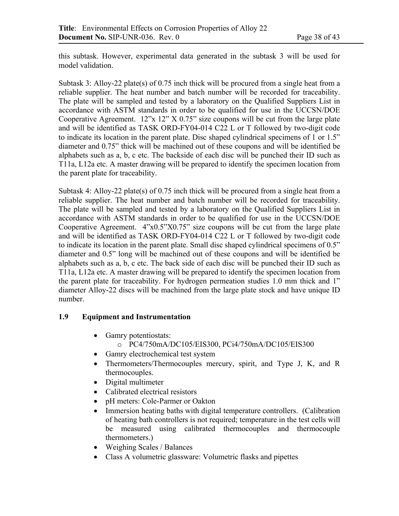this subtask. However, experimental data generated in the subtask 3 will be used for model validation.

Subtask 3: Alloy-22 plate(s) of 0.75 inch thick will be procured from a single heat from a reliable supplier. The heat number and batch number will be recorded for traceability. The plate will be sampled and tested by a laboratory on the Qualified Suppliers List in accordance with ASTM standards in order to be qualified for use in the UCCSN/DOE Cooperative Agreement. 12"x 12" X 0.75" size coupons will be cut from the large plate and will be identified as TASK ORD-FY04-014 C22 L or T followed by two-digit code to indicate its location in the parent plate. Disc shaped cylindrical specimens of 1 or 1.5" diameter and 0.75" thick will be machined out of these coupons and will be identified be alphabets such as a, b, c etc. The backside of each disc will be punched their ID such as T11a, L12a etc. A master drawing will be prepared to identify the specimen location from the parent plate for traceability.

Subtask 4: Alloy-22 plate(s) of 0.75 inch thick will be procured from a single heat from a reliable supplier. The heat number and batch number will be recorded for traceability. The plate will be sampled and tested by a laboratory on the Qualified Suppliers List in accordance with ASTM standards in order to be qualified for use in the UCCSN/DOE Cooperative Agreement. 4"x0.5"X0.75" size coupons will be cut from the large plate and will be identified as TASK ORD-FY04-014 C22 L or T followed by two-digit code to indicate its location in the parent plate. Small disc shaped cylindrical specimens of 0.5" diameter and 0.5" long will be machined out of these coupons and will be identified be alphabets such as a, b, c etc. The back side of each disc will be punched their ID such as T11a, L12a etc. A master drawing will be prepared to identify the specimen location from the parent plate for traceability. For hydrogen permeation studies 1.0 mm thick and 1" diameter Alloy-22 discs will be machined from the large plate stock and have unique ID number.

# **1.9 Equipment and Instrumentation**

- Gamry potentiostats:
	- o PC4/750mA/DC105/EIS300, PCi4/750mA/DC105/EIS300
- Gamry electrochemical test system
- Thermometers/Thermocouples mercury, spirit, and Type J, K, and R thermocouples.
- Digital multimeter
- Calibrated electrical resistors
- pH meters: Cole-Parmer or Oakton
- Immersion heating baths with digital temperature controllers. (Calibration of heating bath controllers is not required; temperature in the test cells will be measured using calibrated thermocouples and thermocouple thermometers.)
- Weighing Scales / Balances
- Class A volumetric glassware: Volumetric flasks and pipettes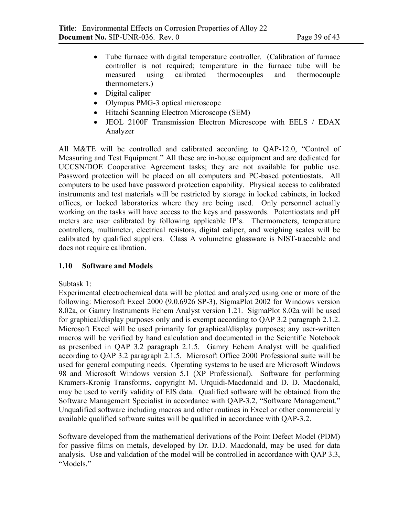- Tube furnace with digital temperature controller. (Calibration of furnace controller is not required; temperature in the furnace tube will be measured using calibrated thermocouples and thermocouple thermometers.)
- Digital caliper
- Olympus PMG-3 optical microscope
- Hitachi Scanning Electron Microscope (SEM)
- JEOL 2100F Transmission Electron Microscope with EELS / EDAX Analyzer

All M&TE will be controlled and calibrated according to QAP-12.0, "Control of Measuring and Test Equipment." All these are in-house equipment and are dedicated for UCCSN/DOE Cooperative Agreement tasks; they are not available for public use. Password protection will be placed on all computers and PC-based potentiostats. All computers to be used have password protection capability. Physical access to calibrated instruments and test materials will be restricted by storage in locked cabinets, in locked offices, or locked laboratories where they are being used. Only personnel actually working on the tasks will have access to the keys and passwords. Potentiostats and pH meters are user calibrated by following applicable IP's. Thermometers, temperature controllers, multimeter, electrical resistors, digital caliper, and weighing scales will be calibrated by qualified suppliers. Class A volumetric glassware is NIST-traceable and does not require calibration.

# **1.10 Software and Models**

Subtask 1:

Experimental electrochemical data will be plotted and analyzed using one or more of the following: Microsoft Excel 2000 (9.0.6926 SP-3), SigmaPlot 2002 for Windows version 8.02a, or Gamry Instruments Echem Analyst version 1.21. SigmaPlot 8.02a will be used for graphical/display purposes only and is exempt according to QAP 3.2 paragraph 2.1.2. Microsoft Excel will be used primarily for graphical/display purposes; any user-written macros will be verified by hand calculation and documented in the Scientific Notebook as prescribed in QAP 3.2 paragraph 2.1.5. Gamry Echem Analyst will be qualified according to QAP 3.2 paragraph 2.1.5. Microsoft Office 2000 Professional suite will be used for general computing needs. Operating systems to be used are Microsoft Windows 98 and Microsoft Windows version 5.1 (XP Professional). Software for performing Kramers-Kronig Transforms, copyright M. Urquidi-Macdonald and D. D. Macdonald, may be used to verify validity of EIS data. Qualified software will be obtained from the Software Management Specialist in accordance with QAP-3.2, "Software Management." Unqualified software including macros and other routines in Excel or other commercially available qualified software suites will be qualified in accordance with QAP-3.2.

Software developed from the mathematical derivations of the Point Defect Model (PDM) for passive films on metals, developed by Dr. D.D. Macdonald, may be used for data analysis. Use and validation of the model will be controlled in accordance with QAP 3.3, "Models."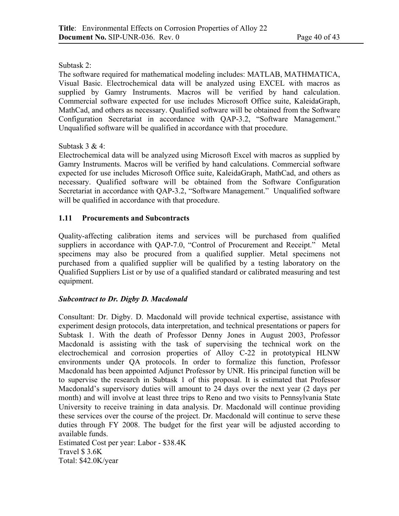Subtask 2:

The software required for mathematical modeling includes: MATLAB, MATHMATICA, Visual Basic. Electrochemical data will be analyzed using EXCEL with macros as supplied by Gamry Instruments. Macros will be verified by hand calculation. Commercial software expected for use includes Microsoft Office suite, KaleidaGraph, MathCad, and others as necessary. Qualified software will be obtained from the Software Configuration Secretariat in accordance with QAP-3.2, "Software Management." Unqualified software will be qualified in accordance with that procedure.

### Subtask 3 & 4:

Electrochemical data will be analyzed using Microsoft Excel with macros as supplied by Gamry Instruments. Macros will be verified by hand calculations. Commercial software expected for use includes Microsoft Office suite, KaleidaGraph, MathCad, and others as necessary. Qualified software will be obtained from the Software Configuration Secretariat in accordance with QAP-3.2, "Software Management." Unqualified software will be qualified in accordance with that procedure.

# **1.11 Procurements and Subcontracts**

Quality-affecting calibration items and services will be purchased from qualified suppliers in accordance with QAP-7.0, "Control of Procurement and Receipt." Metal specimens may also be procured from a qualified supplier. Metal specimens not purchased from a qualified supplier will be qualified by a testing laboratory on the Qualified Suppliers List or by use of a qualified standard or calibrated measuring and test equipment.

# *Subcontract to Dr. Digby D. Macdonald*

Consultant: Dr. Digby. D. Macdonald will provide technical expertise, assistance with experiment design protocols, data interpretation, and technical presentations or papers for Subtask 1. With the death of Professor Denny Jones in August 2003, Professor Macdonald is assisting with the task of supervising the technical work on the electrochemical and corrosion properties of Alloy C-22 in prototypical HLNW environments under QA protocols. In order to formalize this function, Professor Macdonald has been appointed Adjunct Professor by UNR. His principal function will be to supervise the research in Subtask 1 of this proposal. It is estimated that Professor Macdonald's supervisory duties will amount to 24 days over the next year (2 days per month) and will involve at least three trips to Reno and two visits to Pennsylvania State University to receive training in data analysis. Dr. Macdonald will continue providing these services over the course of the project. Dr. Macdonald will continue to serve these duties through FY 2008. The budget for the first year will be adjusted according to available funds. Estimated Cost per year: Labor - \$38.4K

Travel \$ 3.6K

Total: \$42.0K/year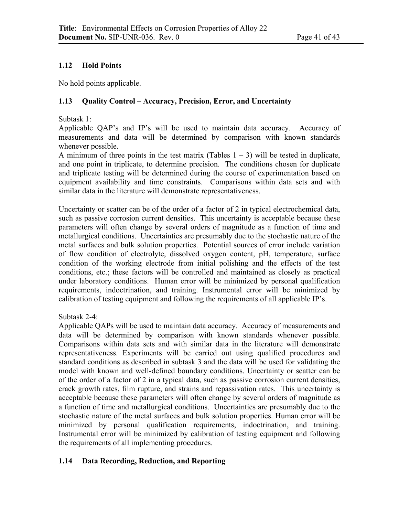# **1.12 Hold Points**

No hold points applicable.

# **1.13 Quality Control – Accuracy, Precision, Error, and Uncertainty**

Subtask 1:

Applicable QAP's and IP's will be used to maintain data accuracy. Accuracy of measurements and data will be determined by comparison with known standards whenever possible.

A minimum of three points in the test matrix (Tables  $1 - 3$ ) will be tested in duplicate, and one point in triplicate, to determine precision. The conditions chosen for duplicate and triplicate testing will be determined during the course of experimentation based on equipment availability and time constraints. Comparisons within data sets and with similar data in the literature will demonstrate representativeness.

Uncertainty or scatter can be of the order of a factor of 2 in typical electrochemical data, such as passive corrosion current densities. This uncertainty is acceptable because these parameters will often change by several orders of magnitude as a function of time and metallurgical conditions. Uncertainties are presumably due to the stochastic nature of the metal surfaces and bulk solution properties. Potential sources of error include variation of flow condition of electrolyte, dissolved oxygen content, pH, temperature, surface condition of the working electrode from initial polishing and the effects of the test conditions, etc.; these factors will be controlled and maintained as closely as practical under laboratory conditions. Human error will be minimized by personal qualification requirements, indoctrination, and training. Instrumental error will be minimized by calibration of testing equipment and following the requirements of all applicable IP's.

Subtask 2-4:

Applicable QAPs will be used to maintain data accuracy. Accuracy of measurements and data will be determined by comparison with known standards whenever possible. Comparisons within data sets and with similar data in the literature will demonstrate representativeness. Experiments will be carried out using qualified procedures and standard conditions as described in subtask 3 and the data will be used for validating the model with known and well-defined boundary conditions. Uncertainty or scatter can be of the order of a factor of 2 in a typical data, such as passive corrosion current densities, crack growth rates, film rupture, and strains and repassivation rates. This uncertainty is acceptable because these parameters will often change by several orders of magnitude as a function of time and metallurgical conditions. Uncertainties are presumably due to the stochastic nature of the metal surfaces and bulk solution properties. Human error will be minimized by personal qualification requirements, indoctrination, and training. Instrumental error will be minimized by calibration of testing equipment and following the requirements of all implementing procedures.

# **1.14 Data Recording, Reduction, and Reporting**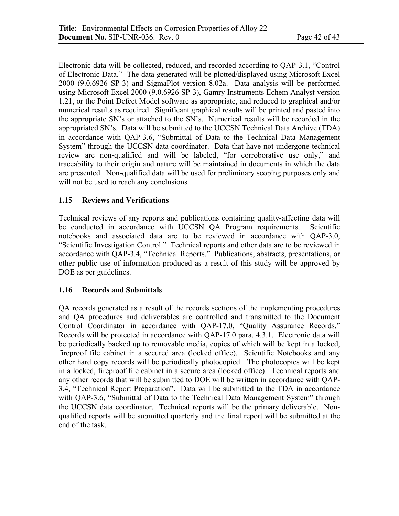Electronic data will be collected, reduced, and recorded according to QAP-3.1, "Control of Electronic Data." The data generated will be plotted/displayed using Microsoft Excel 2000 (9.0.6926 SP-3) and SigmaPlot version 8.02a. Data analysis will be performed using Microsoft Excel 2000 (9.0.6926 SP-3), Gamry Instruments Echem Analyst version 1.21, or the Point Defect Model software as appropriate, and reduced to graphical and/or numerical results as required. Significant graphical results will be printed and pasted into the appropriate SN's or attached to the SN's. Numerical results will be recorded in the appropriated SN's. Data will be submitted to the UCCSN Technical Data Archive (TDA) in accordance with QAP-3.6, "Submittal of Data to the Technical Data Management System" through the UCCSN data coordinator. Data that have not undergone technical review are non-qualified and will be labeled, "for corroborative use only," and traceability to their origin and nature will be maintained in documents in which the data are presented. Non-qualified data will be used for preliminary scoping purposes only and will not be used to reach any conclusions.

### **1.15 Reviews and Verifications**

Technical reviews of any reports and publications containing quality-affecting data will be conducted in accordance with UCCSN QA Program requirements. Scientific notebooks and associated data are to be reviewed in accordance with QAP-3.0, "Scientific Investigation Control." Technical reports and other data are to be reviewed in accordance with QAP-3.4, "Technical Reports." Publications, abstracts, presentations, or other public use of information produced as a result of this study will be approved by DOE as per guidelines.

### **1.16 Records and Submittals**

QA records generated as a result of the records sections of the implementing procedures and QA procedures and deliverables are controlled and transmitted to the Document Control Coordinator in accordance with QAP-17.0, "Quality Assurance Records." Records will be protected in accordance with QAP-17.0 para. 4.3.1. Electronic data will be periodically backed up to removable media, copies of which will be kept in a locked, fireproof file cabinet in a secured area (locked office). Scientific Notebooks and any other hard copy records will be periodically photocopied. The photocopies will be kept in a locked, fireproof file cabinet in a secure area (locked office). Technical reports and any other records that will be submitted to DOE will be written in accordance with QAP-3.4, "Technical Report Preparation". Data will be submitted to the TDA in accordance with QAP-3.6, "Submittal of Data to the Technical Data Management System" through the UCCSN data coordinator. Technical reports will be the primary deliverable. Nonqualified reports will be submitted quarterly and the final report will be submitted at the end of the task.